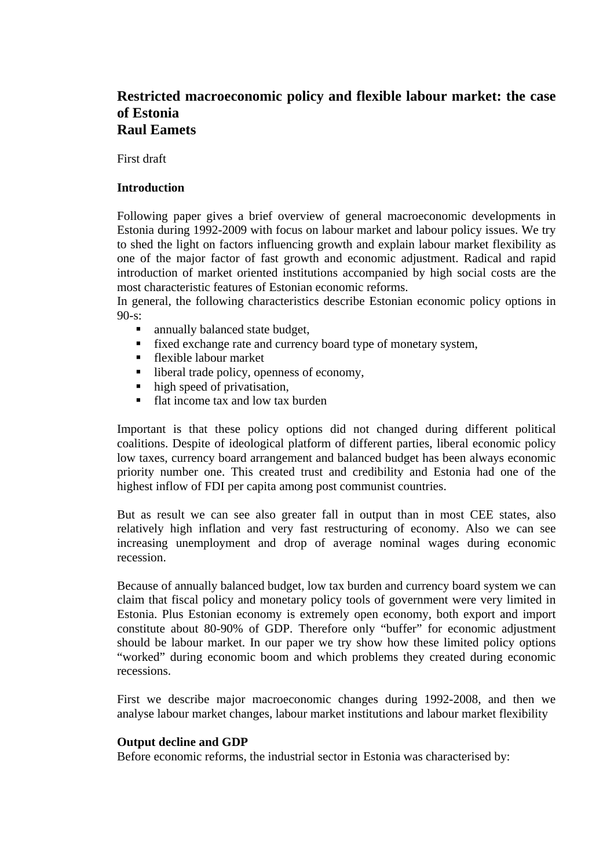# **Restricted macroeconomic policy and flexible labour market: the case of Estonia Raul Eamets**

First draft

### **Introduction**

Following paper gives a brief overview of general macroeconomic developments in Estonia during 1992-2009 with focus on labour market and labour policy issues. We try to shed the light on factors influencing growth and explain labour market flexibility as one of the major factor of fast growth and economic adjustment. Radical and rapid introduction of market oriented institutions accompanied by high social costs are the most characteristic features of Estonian economic reforms.

In general, the following characteristics describe Estonian economic policy options in 90-s:

- annually balanced state budget,
- fixed exchange rate and currency board type of monetary system,
- flexible labour market
- $\blacksquare$  liberal trade policy, openness of economy,
- $\blacksquare$  high speed of privatisation,
- flat income tax and low tax burden

Important is that these policy options did not changed during different political coalitions. Despite of ideological platform of different parties, liberal economic policy low taxes, currency board arrangement and balanced budget has been always economic priority number one. This created trust and credibility and Estonia had one of the highest inflow of FDI per capita among post communist countries.

But as result we can see also greater fall in output than in most CEE states, also relatively high inflation and very fast restructuring of economy. Also we can see increasing unemployment and drop of average nominal wages during economic recession.

Because of annually balanced budget, low tax burden and currency board system we can claim that fiscal policy and monetary policy tools of government were very limited in Estonia. Plus Estonian economy is extremely open economy, both export and import constitute about 80-90% of GDP. Therefore only "buffer" for economic adjustment should be labour market. In our paper we try show how these limited policy options "worked" during economic boom and which problems they created during economic recessions.

First we describe major macroeconomic changes during 1992-2008, and then we analyse labour market changes, labour market institutions and labour market flexibility

### **Output decline and GDP**

Before economic reforms, the industrial sector in Estonia was characterised by: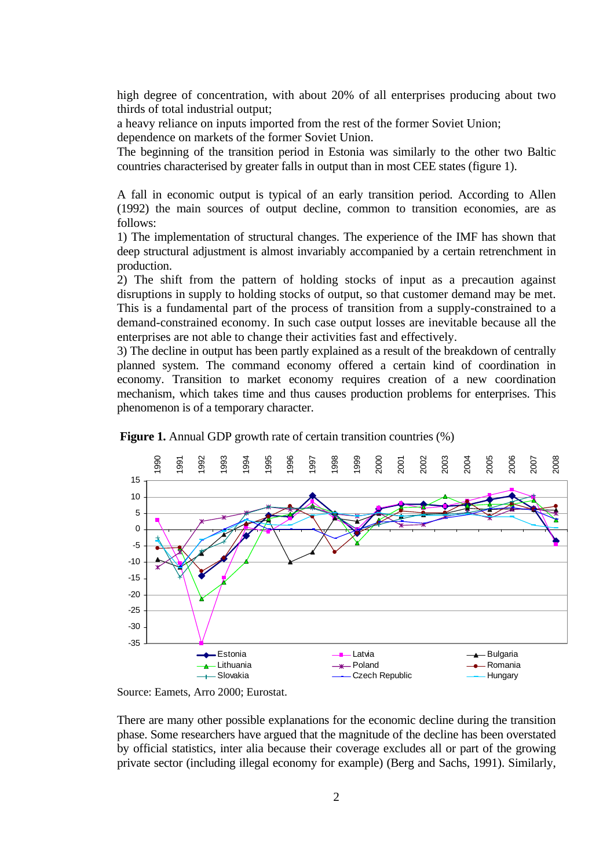high degree of concentration, with about 20% of all enterprises producing about two thirds of total industrial output;

a heavy reliance on inputs imported from the rest of the former Soviet Union; dependence on markets of the former Soviet Union.

The beginning of the transition period in Estonia was similarly to the other two Baltic countries characterised by greater falls in output than in most CEE states (figure 1).

A fall in economic output is typical of an early transition period. According to Allen (1992) the main sources of output decline, common to transition economies, are as follows:

1) The implementation of structural changes. The experience of the IMF has shown that deep structural adjustment is almost invariably accompanied by a certain retrenchment in production.

2) The shift from the pattern of holding stocks of input as a precaution against disruptions in supply to holding stocks of output, so that customer demand may be met. This is a fundamental part of the process of transition from a supply-constrained to a demand-constrained economy. In such case output losses are inevitable because all the enterprises are not able to change their activities fast and effectively.

3) The decline in output has been partly explained as a result of the breakdown of centrally planned system. The command economy offered a certain kind of coordination in economy. Transition to market economy requires creation of a new coordination mechanism, which takes time and thus causes production problems for enterprises. This phenomenon is of a temporary character.



**Figure 1.** Annual GDP growth rate of certain transition countries  $(\%)$ 

Source: Eamets, Arro 2000; Eurostat.

There are many other possible explanations for the economic decline during the transition phase. Some researchers have argued that the magnitude of the decline has been overstated by official statistics, inter alia because their coverage excludes all or part of the growing private sector (including illegal economy for example) (Berg and Sachs, 1991). Similarly,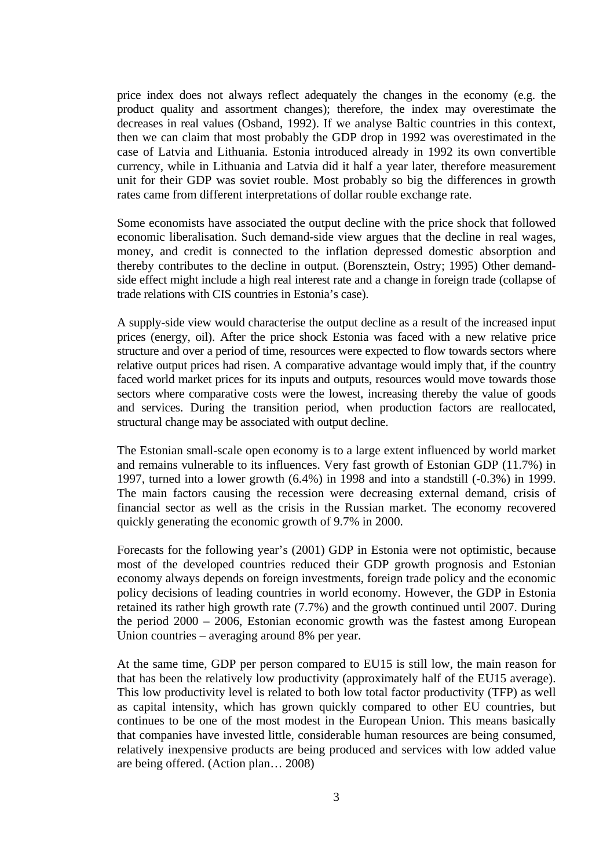price index does not always reflect adequately the changes in the economy (e.g. the product quality and assortment changes); therefore, the index may overestimate the decreases in real values (Osband, 1992). If we analyse Baltic countries in this context, then we can claim that most probably the GDP drop in 1992 was overestimated in the case of Latvia and Lithuania. Estonia introduced already in 1992 its own convertible currency, while in Lithuania and Latvia did it half a year later, therefore measurement unit for their GDP was soviet rouble. Most probably so big the differences in growth rates came from different interpretations of dollar rouble exchange rate.

Some economists have associated the output decline with the price shock that followed economic liberalisation. Such demand-side view argues that the decline in real wages, money, and credit is connected to the inflation depressed domestic absorption and thereby contributes to the decline in output. (Borensztein, Ostry; 1995) Other demandside effect might include a high real interest rate and a change in foreign trade (collapse of trade relations with CIS countries in Estonia's case).

A supply-side view would characterise the output decline as a result of the increased input prices (energy, oil). After the price shock Estonia was faced with a new relative price structure and over a period of time, resources were expected to flow towards sectors where relative output prices had risen. A comparative advantage would imply that, if the country faced world market prices for its inputs and outputs, resources would move towards those sectors where comparative costs were the lowest, increasing thereby the value of goods and services. During the transition period, when production factors are reallocated, structural change may be associated with output decline.

The Estonian small-scale open economy is to a large extent influenced by world market and remains vulnerable to its influences. Very fast growth of Estonian GDP (11.7%) in 1997, turned into a lower growth (6.4%) in 1998 and into a standstill (-0.3%) in 1999. The main factors causing the recession were decreasing external demand, crisis of financial sector as well as the crisis in the Russian market. The economy recovered quickly generating the economic growth of 9.7% in 2000.

Forecasts for the following year's (2001) GDP in Estonia were not optimistic, because most of the developed countries reduced their GDP growth prognosis and Estonian economy always depends on foreign investments, foreign trade policy and the economic policy decisions of leading countries in world economy. However, the GDP in Estonia retained its rather high growth rate (7.7%) and the growth continued until 2007. During the period 2000 – 2006, Estonian economic growth was the fastest among European Union countries – averaging around 8% per year.

At the same time, GDP per person compared to EU15 is still low, the main reason for that has been the relatively low productivity (approximately half of the EU15 average). This low productivity level is related to both low total factor productivity (TFP) as well as capital intensity, which has grown quickly compared to other EU countries, but continues to be one of the most modest in the European Union. This means basically that companies have invested little, considerable human resources are being consumed, relatively inexpensive products are being produced and services with low added value are being offered. (Action plan… 2008)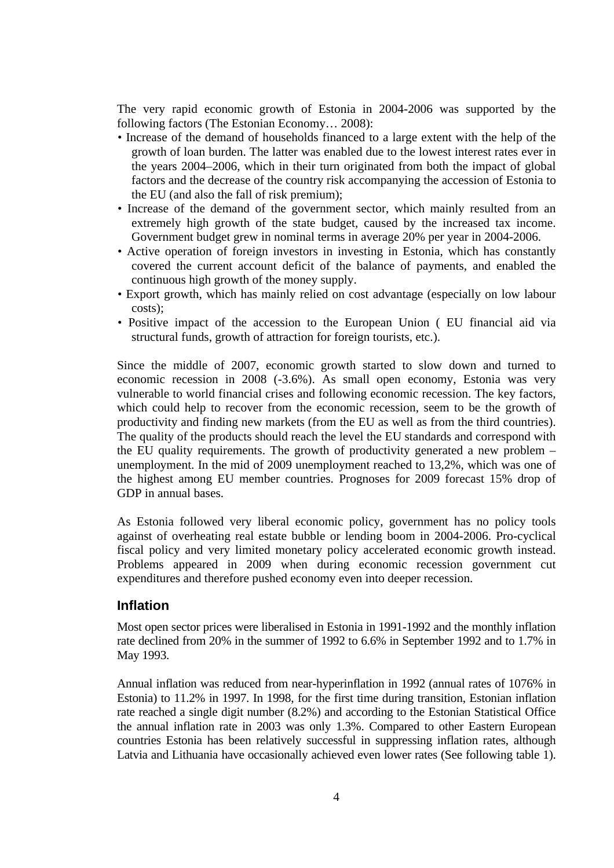The very rapid economic growth of Estonia in 2004-2006 was supported by the following factors (The Estonian Economy… 2008):

- Increase of the demand of households financed to a large extent with the help of the growth of loan burden. The latter was enabled due to the lowest interest rates ever in the years 2004–2006, which in their turn originated from both the impact of global factors and the decrease of the country risk accompanying the accession of Estonia to the EU (and also the fall of risk premium);
- Increase of the demand of the government sector, which mainly resulted from an extremely high growth of the state budget, caused by the increased tax income. Government budget grew in nominal terms in average 20% per year in 2004-2006.
- Active operation of foreign investors in investing in Estonia, which has constantly covered the current account deficit of the balance of payments, and enabled the continuous high growth of the money supply.
- Export growth, which has mainly relied on cost advantage (especially on low labour costs);
- Positive impact of the accession to the European Union ( EU financial aid via structural funds, growth of attraction for foreign tourists, etc.).

Since the middle of 2007, economic growth started to slow down and turned to economic recession in 2008 (-3.6%). As small open economy, Estonia was very vulnerable to world financial crises and following economic recession. The key factors, which could help to recover from the economic recession, seem to be the growth of productivity and finding new markets (from the EU as well as from the third countries). The quality of the products should reach the level the EU standards and correspond with the EU quality requirements. The growth of productivity generated a new problem – unemployment. In the mid of 2009 unemployment reached to 13,2%, which was one of the highest among EU member countries. Prognoses for 2009 forecast 15% drop of GDP in annual bases.

As Estonia followed very liberal economic policy, government has no policy tools against of overheating real estate bubble or lending boom in 2004-2006. Pro-cyclical fiscal policy and very limited monetary policy accelerated economic growth instead. Problems appeared in 2009 when during economic recession government cut expenditures and therefore pushed economy even into deeper recession.

### **Inflation**

Most open sector prices were liberalised in Estonia in 1991-1992 and the monthly inflation rate declined from 20% in the summer of 1992 to 6.6% in September 1992 and to 1.7% in May 1993.

Annual inflation was reduced from near-hyperinflation in 1992 (annual rates of 1076% in Estonia) to 11.2% in 1997. In 1998, for the first time during transition, Estonian inflation rate reached a single digit number (8.2%) and according to the Estonian Statistical Office the annual inflation rate in 2003 was only 1.3%. Compared to other Eastern European countries Estonia has been relatively successful in suppressing inflation rates, although Latvia and Lithuania have occasionally achieved even lower rates (See following table 1).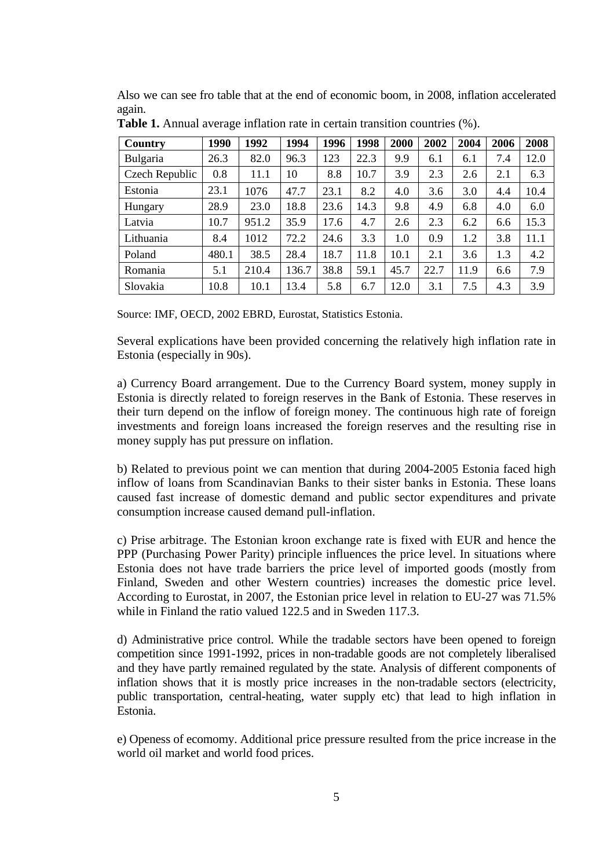Also we can see fro table that at the end of economic boom, in 2008, inflation accelerated again.

| Country        | 1990  | 1992  | 1994  | 1996 | 1998 | 2000 | 2002 | 2004 | 2006 | 2008 |
|----------------|-------|-------|-------|------|------|------|------|------|------|------|
| Bulgaria       | 26.3  | 82.0  | 96.3  | 123  | 22.3 | 9.9  | 6.1  | 6.1  | 7.4  | 12.0 |
| Czech Republic | 0.8   | 11.1  | 10    | 8.8  | 10.7 | 3.9  | 2.3  | 2.6  | 2.1  | 6.3  |
| Estonia        | 23.1  | 1076  | 47.7  | 23.1 | 8.2  | 4.0  | 3.6  | 3.0  | 4.4  | 10.4 |
| Hungary        | 28.9  | 23.0  | 18.8  | 23.6 | 14.3 | 9.8  | 4.9  | 6.8  | 4.0  | 6.0  |
| Latvia         | 10.7  | 951.2 | 35.9  | 17.6 | 4.7  | 2.6  | 2.3  | 6.2  | 6.6  | 15.3 |
| Lithuania      | 8.4   | 1012  | 72.2  | 24.6 | 3.3  | 1.0  | 0.9  | 1.2  | 3.8  | 11.1 |
| Poland         | 480.1 | 38.5  | 28.4  | 18.7 | 11.8 | 10.1 | 2.1  | 3.6  | 1.3  | 4.2  |
| Romania        | 5.1   | 210.4 | 136.7 | 38.8 | 59.1 | 45.7 | 22.7 | 11.9 | 6.6  | 7.9  |
| Slovakia       | 10.8  | 10.1  | 13.4  | 5.8  | 6.7  | 12.0 | 3.1  | 7.5  | 4.3  | 3.9  |

**Table 1.** Annual average inflation rate in certain transition countries (%).

Source: IMF, OECD, 2002 EBRD, Eurostat, Statistics Estonia.

Several explications have been provided concerning the relatively high inflation rate in Estonia (especially in 90s).

a) Currency Board arrangement. Due to the Currency Board system, money supply in Estonia is directly related to foreign reserves in the Bank of Estonia. These reserves in their turn depend on the inflow of foreign money. The continuous high rate of foreign investments and foreign loans increased the foreign reserves and the resulting rise in money supply has put pressure on inflation.

b) Related to previous point we can mention that during 2004-2005 Estonia faced high inflow of loans from Scandinavian Banks to their sister banks in Estonia. These loans caused fast increase of domestic demand and public sector expenditures and private consumption increase caused demand pull-inflation.

c) Prise arbitrage. The Estonian kroon exchange rate is fixed with EUR and hence the PPP (Purchasing Power Parity) principle influences the price level. In situations where Estonia does not have trade barriers the price level of imported goods (mostly from Finland, Sweden and other Western countries) increases the domestic price level. According to Eurostat, in 2007, the Estonian price level in relation to EU-27 was 71.5% while in Finland the ratio valued 122.5 and in Sweden 117.3.

d) Administrative price control. While the tradable sectors have been opened to foreign competition since 1991-1992, prices in non-tradable goods are not completely liberalised and they have partly remained regulated by the state. Analysis of different components of inflation shows that it is mostly price increases in the non-tradable sectors (electricity, public transportation, central-heating, water supply etc) that lead to high inflation in Estonia.

e) Openess of ecomomy. Additional price pressure resulted from the price increase in the world oil market and world food prices.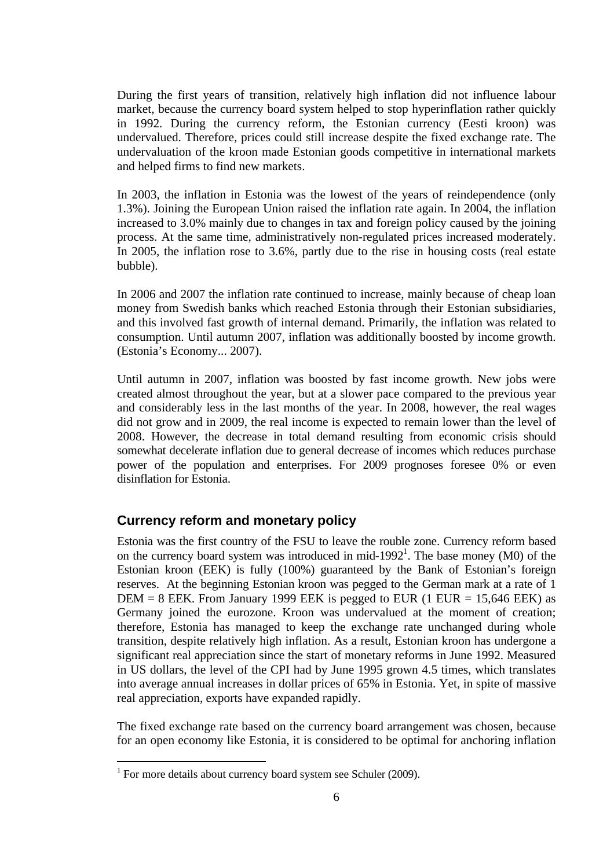During the first years of transition, relatively high inflation did not influence labour market, because the currency board system helped to stop hyperinflation rather quickly in 1992. During the currency reform, the Estonian currency (Eesti kroon) was undervalued. Therefore, prices could still increase despite the fixed exchange rate. The undervaluation of the kroon made Estonian goods competitive in international markets and helped firms to find new markets.

In 2003, the inflation in Estonia was the lowest of the years of reindependence (only 1.3%). Joining the European Union raised the inflation rate again. In 2004, the inflation increased to 3.0% mainly due to changes in tax and foreign policy caused by the joining process. At the same time, administratively non-regulated prices increased moderately. In 2005, the inflation rose to 3.6%, partly due to the rise in housing costs (real estate bubble).

In 2006 and 2007 the inflation rate continued to increase, mainly because of cheap loan money from Swedish banks which reached Estonia through their Estonian subsidiaries, and this involved fast growth of internal demand. Primarily, the inflation was related to consumption. Until autumn 2007, inflation was additionally boosted by income growth. (Estonia's Economy... 2007).

Until autumn in 2007, inflation was boosted by fast income growth. New jobs were created almost throughout the year, but at a slower pace compared to the previous year and considerably less in the last months of the year. In 2008, however, the real wages did not grow and in 2009, the real income is expected to remain lower than the level of 2008. However, the decrease in total demand resulting from economic crisis should somewhat decelerate inflation due to general decrease of incomes which reduces purchase power of the population and enterprises. For 2009 prognoses foresee 0% or even disinflation for Estonia.

# **Currency reform and monetary policy**

Estonia was the first country of the FSU to leave the rouble zone. Currency reform based on the currency board system was introduced in mid-1992<sup>1</sup>. The base money (M0) of the Estonian kroon (EEK) is fully (100%) guaranteed by the Bank of Estonian's foreign reserves. At the beginning Estonian kroon was pegged to the German mark at a rate of 1 DEM = 8 EEK. From January 1999 EEK is pegged to EUR (1 EUR = 15,646 EEK) as Germany joined the eurozone. Kroon was undervalued at the moment of creation; therefore, Estonia has managed to keep the exchange rate unchanged during whole transition, despite relatively high inflation. As a result, Estonian kroon has undergone a significant real appreciation since the start of monetary reforms in June 1992. Measured in US dollars, the level of the CPI had by June 1995 grown 4.5 times, which translates into average annual increases in dollar prices of 65% in Estonia. Yet, in spite of massive real appreciation, exports have expanded rapidly.

The fixed exchange rate based on the currency board arrangement was chosen, because for an open economy like Estonia, it is considered to be optimal for anchoring inflation

 $\overline{a}$ 

<span id="page-5-0"></span><sup>&</sup>lt;sup>1</sup> For more details about currency board system see Schuler (2009).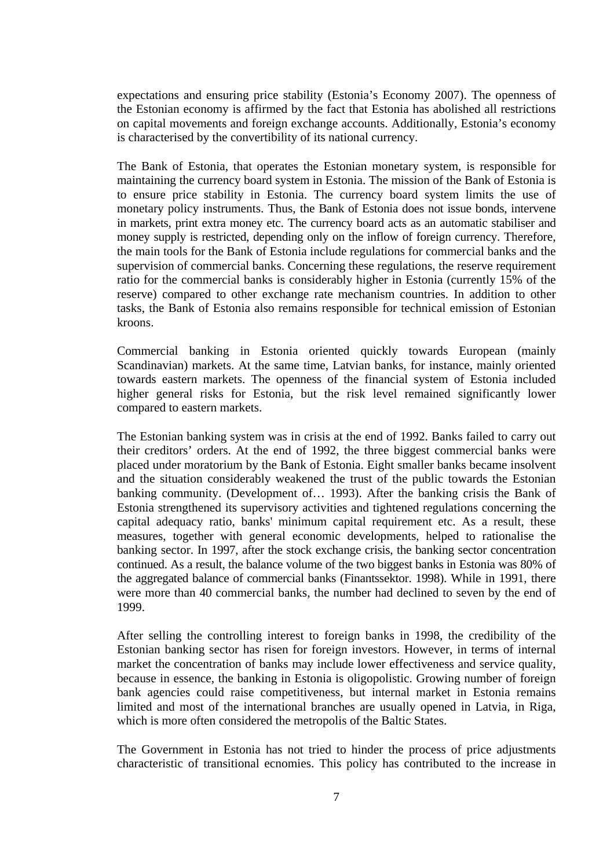expectations and ensuring price stability (Estonia's Economy 2007). The openness of the Estonian economy is affirmed by the fact that Estonia has abolished all restrictions on capital movements and foreign exchange accounts. Additionally, Estonia's economy is characterised by the convertibility of its national currency.

The Bank of Estonia, that operates the Estonian monetary system, is responsible for maintaining the currency board system in Estonia. The mission of the Bank of Estonia is to ensure price stability in Estonia. The currency board system limits the use of monetary policy instruments. Thus, the Bank of Estonia does not issue bonds, intervene in markets, print extra money etc. The currency board acts as an automatic stabiliser and money supply is restricted, depending only on the inflow of foreign currency. Therefore, the main tools for the Bank of Estonia include regulations for commercial banks and the supervision of commercial banks. Concerning these regulations, the reserve requirement ratio for the commercial banks is considerably higher in Estonia (currently 15% of the reserve) compared to other exchange rate mechanism countries. In addition to other tasks, the Bank of Estonia also remains responsible for technical emission of Estonian kroons.

Commercial banking in Estonia oriented quickly towards European (mainly Scandinavian) markets. At the same time, Latvian banks, for instance, mainly oriented towards eastern markets. The openness of the financial system of Estonia included higher general risks for Estonia, but the risk level remained significantly lower compared to eastern markets.

The Estonian banking system was in crisis at the end of 1992. Banks failed to carry out their creditors' orders. At the end of 1992, the three biggest commercial banks were placed under moratorium by the Bank of Estonia. Eight smaller banks became insolvent and the situation considerably weakened the trust of the public towards the Estonian banking community. (Development of… 1993). After the banking crisis the Bank of Estonia strengthened its supervisory activities and tightened regulations concerning the capital adequacy ratio, banks' minimum capital requirement etc. As a result, these measures, together with general economic developments, helped to rationalise the banking sector. In 1997, after the stock exchange crisis, the banking sector concentration continued. As a result, the balance volume of the two biggest banks in Estonia was 80% of the aggregated balance of commercial banks (Finantssektor. 1998). While in 1991, there were more than 40 commercial banks, the number had declined to seven by the end of 1999.

After selling the controlling interest to foreign banks in 1998, the credibility of the Estonian banking sector has risen for foreign investors. However, in terms of internal market the concentration of banks may include lower effectiveness and service quality, because in essence, the banking in Estonia is oligopolistic. Growing number of foreign bank agencies could raise competitiveness, but internal market in Estonia remains limited and most of the international branches are usually opened in Latvia, in Riga, which is more often considered the metropolis of the Baltic States.

The Government in Estonia has not tried to hinder the process of price adjustments characteristic of transitional ecnomies. This policy has contributed to the increase in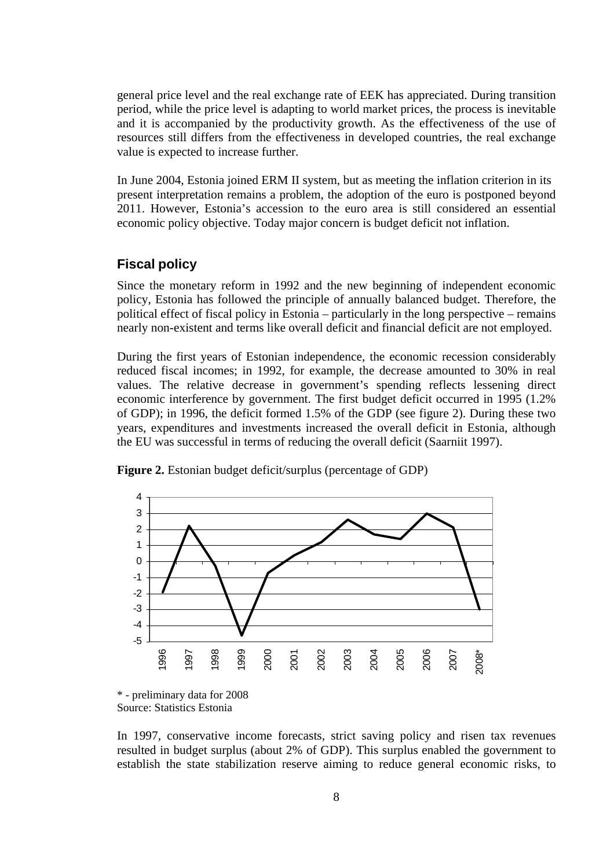general price level and the real exchange rate of EEK has appreciated. During transition period, while the price level is adapting to world market prices, the process is inevitable and it is accompanied by the productivity growth. As the effectiveness of the use of resources still differs from the effectiveness in developed countries, the real exchange value is expected to increase further.

In June 2004, Estonia joined ERM II system, but as meeting the inflation criterion in its present interpretation remains a problem, the adoption of the euro is postponed beyond 2011. However, Estonia's accession to the euro area is still considered an essential economic policy objective. Today major concern is budget deficit not inflation.

### **Fiscal policy**

Since the monetary reform in 1992 and the new beginning of independent economic policy, Estonia has followed the principle of annually balanced budget. Therefore, the political effect of fiscal policy in Estonia – particularly in the long perspective – remains nearly non-existent and terms like overall deficit and financial deficit are not employed.

During the first years of Estonian independence, the economic recession considerably reduced fiscal incomes; in 1992, for example, the decrease amounted to 30% in real values. The relative decrease in government's spending reflects lessening direct economic interference by government. The first budget deficit occurred in 1995 (1.2% of GDP); in 1996, the deficit formed 1.5% of the GDP (see figure 2). During these two years, expenditures and investments increased the overall deficit in Estonia, although the EU was successful in terms of reducing the overall deficit (Saarniit 1997).



**Figure 2.** Estonian budget deficit/surplus (percentage of GDP)

In 1997, conservative income forecasts, strict saving policy and risen tax revenues resulted in budget surplus (about 2% of GDP). This surplus enabled the government to establish the state stabilization reserve aiming to reduce general economic risks, to

<sup>\* -</sup> preliminary data for 2008 Source: Statistics Estonia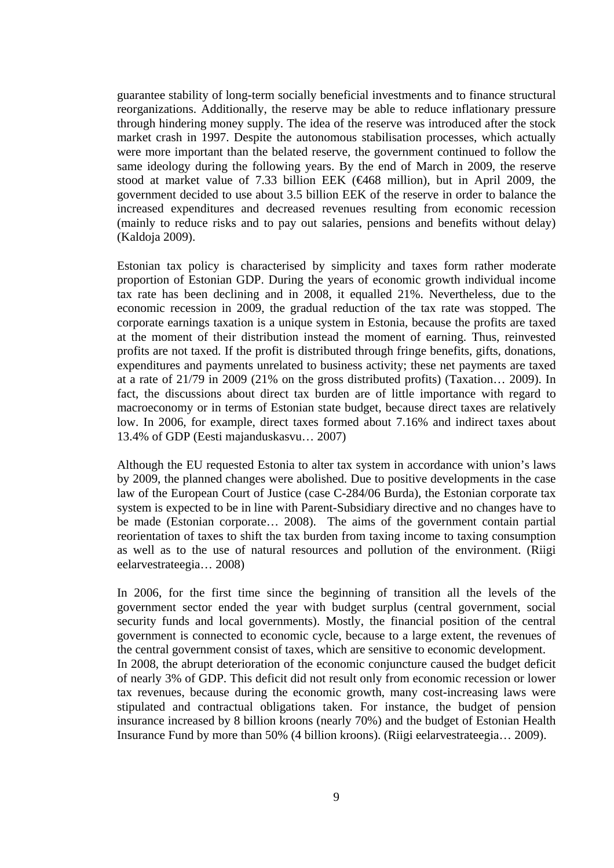guarantee stability of long-term socially beneficial investments and to finance structural reorganizations. Additionally, the reserve may be able to reduce inflationary pressure through hindering money supply. The idea of the reserve was introduced after the stock market crash in 1997. Despite the autonomous stabilisation processes, which actually were more important than the belated reserve, the government continued to follow the same ideology during the following years. By the end of March in 2009, the reserve stood at market value of 7.33 billion EEK (€468 million), but in April 2009, the government decided to use about 3.5 billion EEK of the reserve in order to balance the increased expenditures and decreased revenues resulting from economic recession (mainly to reduce risks and to pay out salaries, pensions and benefits without delay) (Kaldoja 2009).

Estonian tax policy is characterised by simplicity and taxes form rather moderate proportion of Estonian GDP. During the years of economic growth individual income tax rate has been declining and in 2008, it equalled 21%. Nevertheless, due to the economic recession in 2009, the gradual reduction of the tax rate was stopped. The corporate earnings taxation is a unique system in Estonia, because the profits are taxed at the moment of their distribution instead the moment of earning. Thus, reinvested profits are not taxed. If the profit is distributed through fringe benefits, gifts, donations, expenditures and payments unrelated to business activity; these net payments are taxed at a rate of 21/79 in 2009 (21% on the gross distributed profits) (Taxation… 2009). In fact, the discussions about direct tax burden are of little importance with regard to macroeconomy or in terms of Estonian state budget, because direct taxes are relatively low. In 2006, for example, direct taxes formed about 7.16% and indirect taxes about 13.4% of GDP (Eesti majanduskasvu… 2007)

Although the EU requested Estonia to alter tax system in accordance with union's laws by 2009, the planned changes were abolished. Due to positive developments in the case law of the European Court of Justice (case C-284/06 Burda), the Estonian corporate tax system is expected to be in line with Parent-Subsidiary directive and no changes have to be made (Estonian corporate… 2008). The aims of the government contain partial reorientation of taxes to shift the tax burden from taxing income to taxing consumption as well as to the use of natural resources and pollution of the environment. (Riigi eelarvestrateegia… 2008)

In 2006, for the first time since the beginning of transition all the levels of the government sector ended the year with budget surplus (central government, social security funds and local governments). Mostly, the financial position of the central government is connected to economic cycle, because to a large extent, the revenues of the central government consist of taxes, which are sensitive to economic development. In 2008, the abrupt deterioration of the economic conjuncture caused the budget deficit of nearly 3% of GDP. This deficit did not result only from economic recession or lower tax revenues, because during the economic growth, many cost-increasing laws were stipulated and contractual obligations taken. For instance, the budget of pension insurance increased by 8 billion kroons (nearly 70%) and the budget of Estonian Health Insurance Fund by more than 50% (4 billion kroons). (Riigi eelarvestrateegia… 2009).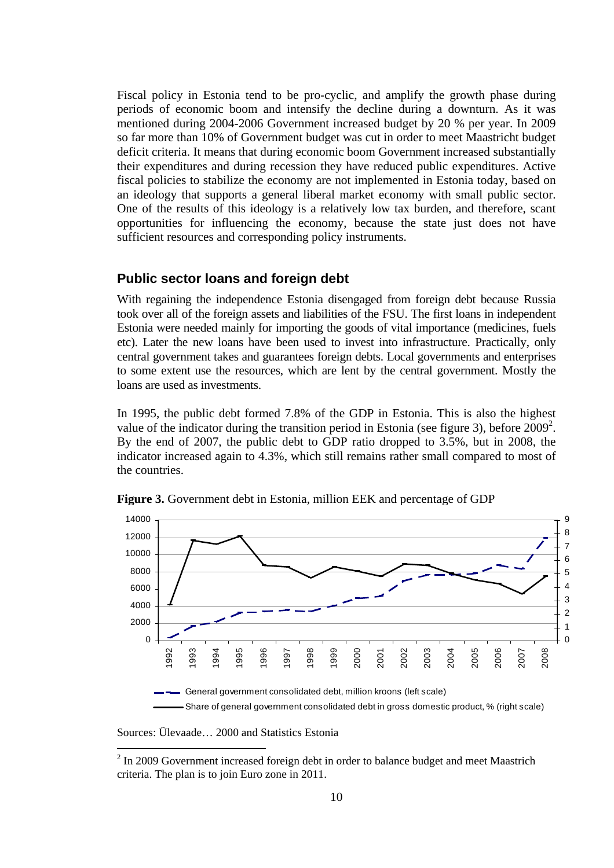Fiscal policy in Estonia tend to be pro-cyclic, and amplify the growth phase during periods of economic boom and intensify the decline during a downturn. As it was mentioned during 2004-2006 Government increased budget by 20 % per year. In 2009 so far more than 10% of Government budget was cut in order to meet Maastricht budget deficit criteria. It means that during economic boom Government increased substantially their expenditures and during recession they have reduced public expenditures. Active fiscal policies to stabilize the economy are not implemented in Estonia today, based on an ideology that supports a general liberal market economy with small public sector. One of the results of this ideology is a relatively low tax burden, and therefore, scant opportunities for influencing the economy, because the state just does not have sufficient resources and corresponding policy instruments.

### **Public sector loans and foreign debt**

With regaining the independence Estonia disengaged from foreign debt because Russia took over all of the foreign assets and liabilities of the FSU. The first loans in independent Estonia were needed mainly for importing the goods of vital importance (medicines, fuels etc). Later the new loans have been used to invest into infrastructure. Practically, only central government takes and guarantees foreign debts. Local governments and enterprises to some extent use the resources, which are lent by the central government. Mostly the loans are used as investments.

In 1995, the public debt formed 7.8% of the GDP in Estonia. This is also the highest value of the indicator during the transition period in Estonia (see figure 3), before  $2009^2$  $2009^2$ . By the end of 2007, the public debt to GDP ratio dropped to 3.5%, but in 2008, the indicator increased again to 4.3%, which still remains rather small compared to most of the countries.



**Figure 3.** Government debt in Estonia, million EEK and percentage of GDP

Sources: Ülevaade… 2000 and Statistics Estonia

 $\overline{a}$ 

<span id="page-9-0"></span> $2 \text{ In } 2009$  Government increased foreign debt in order to balance budget and meet Maastrich criteria. The plan is to join Euro zone in 2011.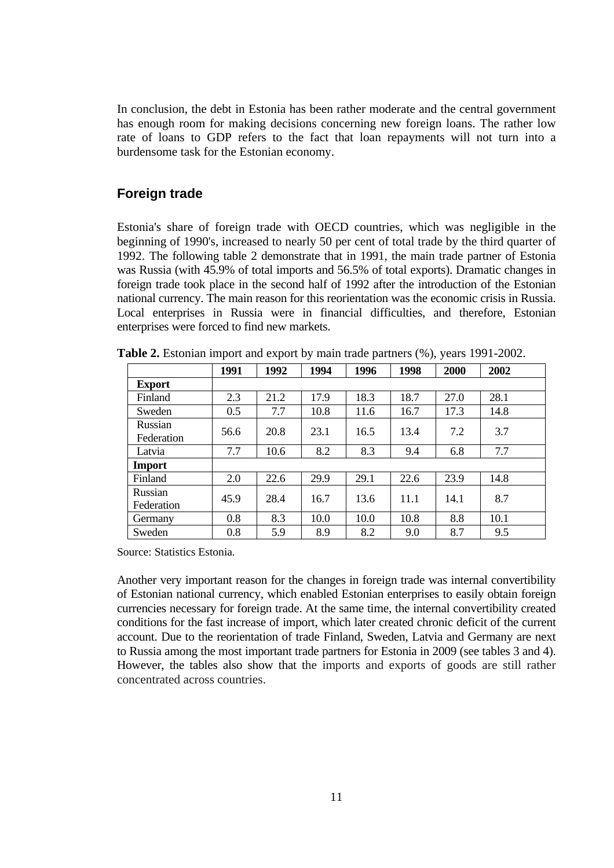In conclusion, the debt in Estonia has been rather moderate and the central government has enough room for making decisions concerning new foreign loans. The rather low rate of loans to GDP refers to the fact that loan repayments will not turn into a burdensome task for the Estonian economy.

### **Foreign trade**

Estonia's share of foreign trade with OECD countries, which was negligible in the beginning of 1990's, increased to nearly 50 per cent of total trade by the third quarter of 1992. The following table 2 demonstrate that in 1991, the main trade partner of Estonia was Russia (with 45.9% of total imports and 56.5% of total exports). Dramatic changes in foreign trade took place in the second half of 1992 after the introduction of the Estonian national currency. The main reason for this reorientation was the economic crisis in Russia. Local enterprises in Russia were in financial difficulties, and therefore, Estonian enterprises were forced to find new markets.

|                       | 1991 | 1992 | 1994 | 1996 | 1998 | 2000 | 2002 |
|-----------------------|------|------|------|------|------|------|------|
| <b>Export</b>         |      |      |      |      |      |      |      |
| Finland               | 2.3  | 21.2 | 17.9 | 18.3 | 18.7 | 27.0 | 28.1 |
| Sweden                | 0.5  | 7.7  | 10.8 | 11.6 | 16.7 | 17.3 | 14.8 |
| Russian<br>Federation | 56.6 | 20.8 | 23.1 | 16.5 | 13.4 | 7.2  | 3.7  |
| Latvia                | 7.7  | 10.6 | 8.2  | 8.3  | 9.4  | 6.8  | 7.7  |
| <b>Import</b>         |      |      |      |      |      |      |      |
| Finland               | 2.0  | 22.6 | 29.9 | 29.1 | 22.6 | 23.9 | 14.8 |
| Russian<br>Federation | 45.9 | 28.4 | 16.7 | 13.6 | 11.1 | 14.1 | 8.7  |
| Germany               | 0.8  | 8.3  | 10.0 | 10.0 | 10.8 | 8.8  | 10.1 |
| Sweden                | 0.8  | 5.9  | 8.9  | 8.2  | 9.0  | 8.7  | 9.5  |

**Table 2.** Estonian import and export by main trade partners (%), years 1991-2002.

Source: Statistics Estonia*.* 

Another very important reason for the changes in foreign trade was internal convertibility of Estonian national currency, which enabled Estonian enterprises to easily obtain foreign currencies necessary for foreign trade. At the same time, the internal convertibility created conditions for the fast increase of import, which later created chronic deficit of the current account. Due to the reorientation of trade Finland, Sweden, Latvia and Germany are next to Russia among the most important trade partners for Estonia in 2009 (see tables 3 and 4). However, the tables also show that the imports and exports of goods are still rather concentrated across countries.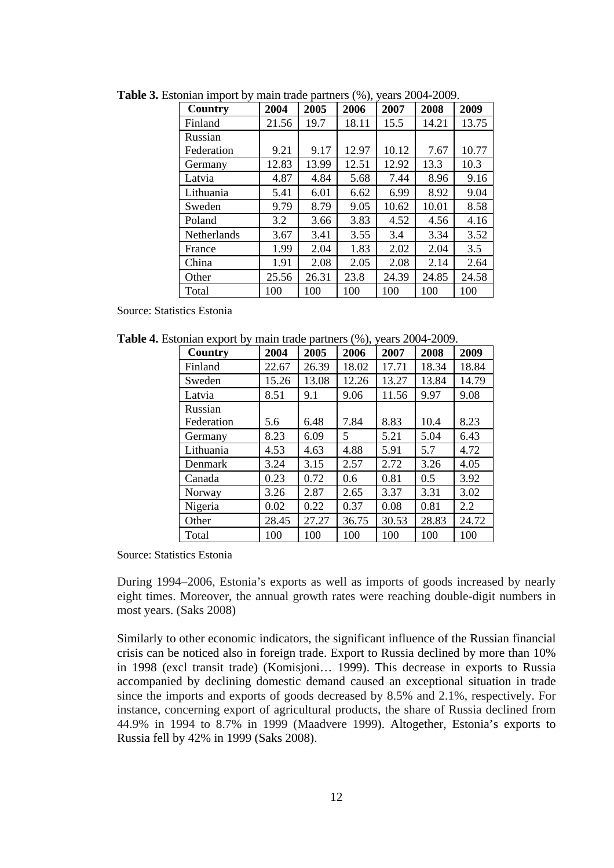| <b>Country</b> | 2004  | 2005  | 2006  | 2007  | 2008  | 2009  |
|----------------|-------|-------|-------|-------|-------|-------|
| Finland        | 21.56 | 19.7  | 18.11 | 15.5  | 14.21 | 13.75 |
| Russian        |       |       |       |       |       |       |
| Federation     | 9.21  | 9.17  | 12.97 | 10.12 | 7.67  | 10.77 |
| Germany        | 12.83 | 13.99 | 12.51 | 12.92 | 13.3  | 10.3  |
| Latvia         | 4.87  | 4.84  | 5.68  | 7.44  | 8.96  | 9.16  |
| Lithuania      | 5.41  | 6.01  | 6.62  | 6.99  | 8.92  | 9.04  |
| Sweden         | 9.79  | 8.79  | 9.05  | 10.62 | 10.01 | 8.58  |
| Poland         | 3.2   | 3.66  | 3.83  | 4.52  | 4.56  | 4.16  |
| Netherlands    | 3.67  | 3.41  | 3.55  | 3.4   | 3.34  | 3.52  |
| France         | 1.99  | 2.04  | 1.83  | 2.02  | 2.04  | 3.5   |
| China          | 1.91  | 2.08  | 2.05  | 2.08  | 2.14  | 2.64  |
| Other          | 25.56 | 26.31 | 23.8  | 24.39 | 24.85 | 24.58 |
| Total          | 100   | 100   | 100   | 100   | 100   | 100   |

**Table 3.** Estonian import by main trade partners (%), years 2004-2009.

Source: Statistics Estonia

**Table 4.** Estonian export by main trade partners (%), years 2004-2009.

|            |       |       | $\cdots$ |       |       |       |  |  |  |  |
|------------|-------|-------|----------|-------|-------|-------|--|--|--|--|
| Country    | 2004  | 2005  | 2006     | 2007  | 2008  | 2009  |  |  |  |  |
| Finland    | 22.67 | 26.39 | 18.02    | 17.71 | 18.34 | 18.84 |  |  |  |  |
| Sweden     | 15.26 | 13.08 | 12.26    | 13.27 | 13.84 | 14.79 |  |  |  |  |
| Latvia     | 8.51  | 9.1   | 9.06     | 11.56 | 9.97  | 9.08  |  |  |  |  |
| Russian    |       |       |          |       |       |       |  |  |  |  |
| Federation | 5.6   | 6.48  | 7.84     | 8.83  | 10.4  | 8.23  |  |  |  |  |
| Germany    | 8.23  | 6.09  | 5        | 5.21  | 5.04  | 6.43  |  |  |  |  |
| Lithuania  | 4.53  | 4.63  | 4.88     | 5.91  | 5.7   | 4.72  |  |  |  |  |
| Denmark    | 3.24  | 3.15  | 2.57     | 2.72  | 3.26  | 4.05  |  |  |  |  |
| Canada     | 0.23  | 0.72  | 0.6      | 0.81  | 0.5   | 3.92  |  |  |  |  |
| Norway     | 3.26  | 2.87  | 2.65     | 3.37  | 3.31  | 3.02  |  |  |  |  |
| Nigeria    | 0.02  | 0.22  | 0.37     | 0.08  | 0.81  | 2.2   |  |  |  |  |
| Other      | 28.45 | 27.27 | 36.75    | 30.53 | 28.83 | 24.72 |  |  |  |  |
| Total      | 100   | 100   | 100      | 100   | 100   | 100   |  |  |  |  |

Source: Statistics Estonia

During 1994–2006, Estonia's exports as well as imports of goods increased by nearly eight times. Moreover, the annual growth rates were reaching double-digit numbers in most years. (Saks 2008)

Similarly to other economic indicators, the significant influence of the Russian financial crisis can be noticed also in foreign trade. Export to Russia declined by more than 10% in 1998 (excl transit trade) (Komisjoni… 1999). This decrease in exports to Russia accompanied by declining domestic demand caused an exceptional situation in trade since the imports and exports of goods decreased by 8.5% and 2.1%, respectively. For instance, concerning export of agricultural products, the share of Russia declined from 44.9% in 1994 to 8.7% in 1999 (Maadvere 1999). Altogether, Estonia's exports to Russia fell by 42% in 1999 (Saks 2008).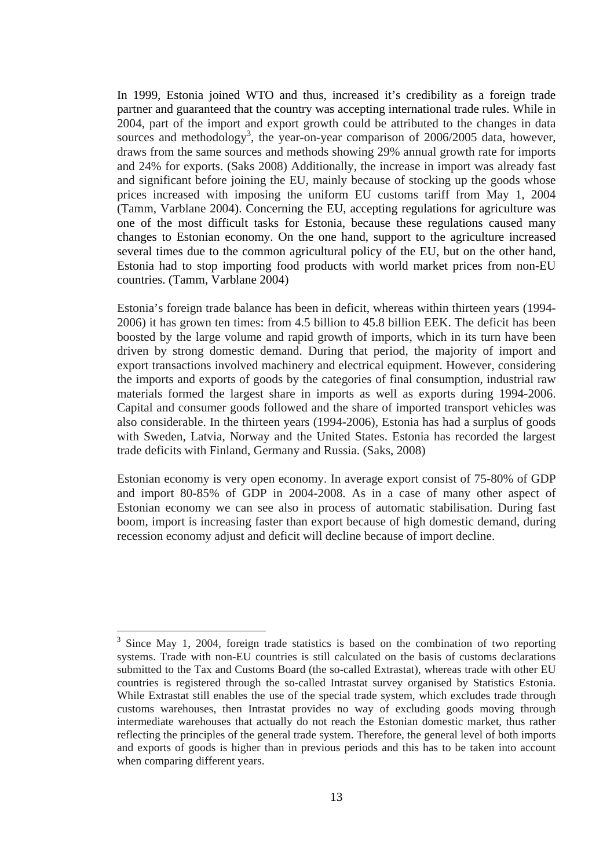In 1999, Estonia joined WTO and thus, increased it's credibility as a foreign trade partner and guaranteed that the country was accepting international trade rules. While in 2004, part of the import and export growth could be attributed to the changes in data sources and methodology<sup>[3](#page-12-0)</sup>, the year-on-year comparison of  $2006/2005$  data, however, draws from the same sources and methods showing 29% annual growth rate for imports and 24% for exports. (Saks 2008) Additionally, the increase in import was already fast and significant before joining the EU, mainly because of stocking up the goods whose prices increased with imposing the uniform EU customs tariff from May 1, 2004 (Tamm, Varblane 2004). Concerning the EU, accepting regulations for agriculture was one of the most difficult tasks for Estonia, because these regulations caused many changes to Estonian economy. On the one hand, support to the agriculture increased several times due to the common agricultural policy of the EU, but on the other hand, Estonia had to stop importing food products with world market prices from non-EU countries. (Tamm, Varblane 2004)

Estonia's foreign trade balance has been in deficit, whereas within thirteen years (1994- 2006) it has grown ten times: from 4.5 billion to 45.8 billion EEK. The deficit has been boosted by the large volume and rapid growth of imports, which in its turn have been driven by strong domestic demand. During that period, the majority of import and export transactions involved machinery and electrical equipment. However, considering the imports and exports of goods by the categories of final consumption, industrial raw materials formed the largest share in imports as well as exports during 1994-2006. Capital and consumer goods followed and the share of imported transport vehicles was also considerable. In the thirteen years (1994-2006), Estonia has had a surplus of goods with Sweden, Latvia, Norway and the United States. Estonia has recorded the largest trade deficits with Finland, Germany and Russia. (Saks, 2008)

Estonian economy is very open economy. In average export consist of 75-80% of GDP and import 80-85% of GDP in 2004-2008. As in a case of many other aspect of Estonian economy we can see also in process of automatic stabilisation. During fast boom, import is increasing faster than export because of high domestic demand, during recession economy adjust and deficit will decline because of import decline.

 $\overline{a}$ 

<span id="page-12-0"></span><sup>3</sup> Since May 1, 2004, foreign trade statistics is based on the combination of two reporting systems. Trade with non-EU countries is still calculated on the basis of customs declarations submitted to the Tax and Customs Board (the so-called Extrastat), whereas trade with other EU countries is registered through the so-called Intrastat survey organised by Statistics Estonia. While Extrastat still enables the use of the special trade system, which excludes trade through customs warehouses, then Intrastat provides no way of excluding goods moving through intermediate warehouses that actually do not reach the Estonian domestic market, thus rather reflecting the principles of the general trade system. Therefore, the general level of both imports and exports of goods is higher than in previous periods and this has to be taken into account when comparing different years.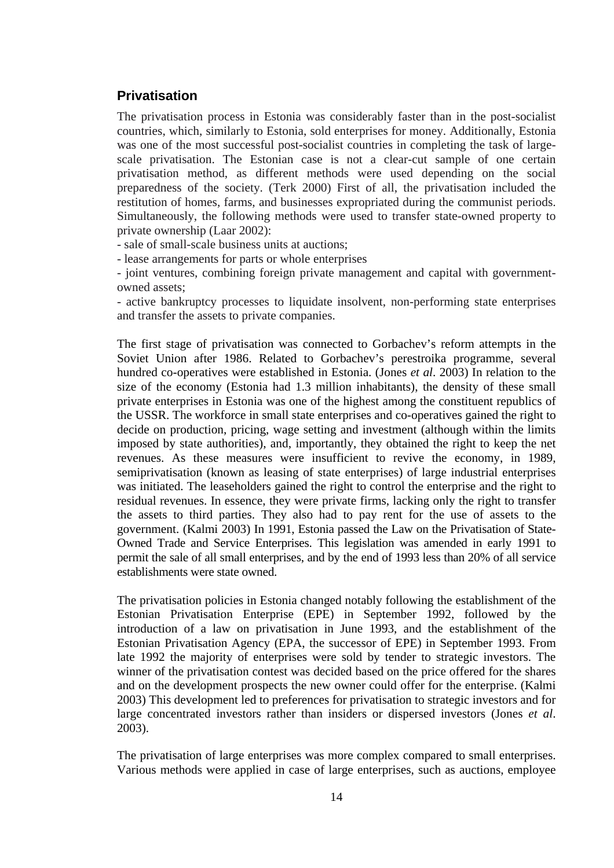# **Privatisation**

The privatisation process in Estonia was considerably faster than in the post-socialist countries, which, similarly to Estonia, sold enterprises for money. Additionally, Estonia was one of the most successful post-socialist countries in completing the task of largescale privatisation. The Estonian case is not a clear-cut sample of one certain privatisation method, as different methods were used depending on the social preparedness of the society. (Terk 2000) First of all, the privatisation included the restitution of homes, farms, and businesses expropriated during the communist periods. Simultaneously, the following methods were used to transfer state-owned property to private ownership (Laar 2002):

- sale of small-scale business units at auctions;

- lease arrangements for parts or whole enterprises

- joint ventures, combining foreign private management and capital with governmentowned assets;

- active bankruptcy processes to liquidate insolvent, non-performing state enterprises and transfer the assets to private companies.

The first stage of privatisation was connected to Gorbachev's reform attempts in the Soviet Union after 1986. Related to Gorbachev's perestroika programme, several hundred co-operatives were established in Estonia. (Jones *et al*. 2003) In relation to the size of the economy (Estonia had 1.3 million inhabitants), the density of these small private enterprises in Estonia was one of the highest among the constituent republics of the USSR. The workforce in small state enterprises and co-operatives gained the right to decide on production, pricing, wage setting and investment (although within the limits imposed by state authorities), and, importantly, they obtained the right to keep the net revenues. As these measures were insufficient to revive the economy, in 1989, semiprivatisation (known as leasing of state enterprises) of large industrial enterprises was initiated. The leaseholders gained the right to control the enterprise and the right to residual revenues. In essence, they were private firms, lacking only the right to transfer the assets to third parties. They also had to pay rent for the use of assets to the government. (Kalmi 2003) In 1991, Estonia passed the Law on the Privatisation of State-Owned Trade and Service Enterprises. This legislation was amended in early 1991 to permit the sale of all small enterprises, and by the end of 1993 less than 20% of all service establishments were state owned.

The privatisation policies in Estonia changed notably following the establishment of the Estonian Privatisation Enterprise (EPE) in September 1992, followed by the introduction of a law on privatisation in June 1993, and the establishment of the Estonian Privatisation Agency (EPA, the successor of EPE) in September 1993. From late 1992 the majority of enterprises were sold by tender to strategic investors. The winner of the privatisation contest was decided based on the price offered for the shares and on the development prospects the new owner could offer for the enterprise. (Kalmi 2003) This development led to preferences for privatisation to strategic investors and for large concentrated investors rather than insiders or dispersed investors (Jones *et al*. 2003).

The privatisation of large enterprises was more complex compared to small enterprises. Various methods were applied in case of large enterprises, such as auctions, employee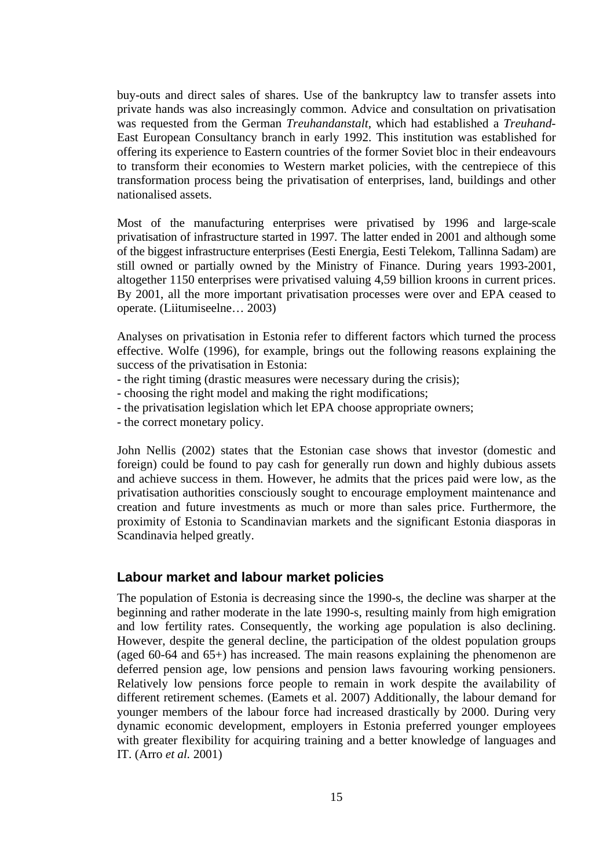buy-outs and direct sales of shares. Use of the bankruptcy law to transfer assets into private hands was also increasingly common. Advice and consultation on privatisation was requested from the German *Treuhandanstalt*, which had established a *Treuhand-*East European Consultancy branch in early 1992. This institution was established for offering its experience to Eastern countries of the former Soviet bloc in their endeavours to transform their economies to Western market policies, with the centrepiece of this transformation process being the privatisation of enterprises, land, buildings and other nationalised assets.

Most of the manufacturing enterprises were privatised by 1996 and large-scale privatisation of infrastructure started in 1997. The latter ended in 2001 and although some of the biggest infrastructure enterprises (Eesti Energia, Eesti Telekom, Tallinna Sadam) are still owned or partially owned by the Ministry of Finance. During years 1993-2001, altogether 1150 enterprises were privatised valuing 4,59 billion kroons in current prices. By 2001, all the more important privatisation processes were over and EPA ceased to operate. (Liitumiseelne… 2003)

Analyses on privatisation in Estonia refer to different factors which turned the process effective. Wolfe (1996), for example, brings out the following reasons explaining the success of the privatisation in Estonia:

- the right timing (drastic measures were necessary during the crisis);
- choosing the right model and making the right modifications;
- the privatisation legislation which let EPA choose appropriate owners;
- the correct monetary policy.

John Nellis (2002) states that the Estonian case shows that investor (domestic and foreign) could be found to pay cash for generally run down and highly dubious assets and achieve success in them. However, he admits that the prices paid were low, as the privatisation authorities consciously sought to encourage employment maintenance and creation and future investments as much or more than sales price. Furthermore, the proximity of Estonia to Scandinavian markets and the significant Estonia diasporas in Scandinavia helped greatly.

### **Labour market and labour market policies**

The population of Estonia is decreasing since the 1990-s, the decline was sharper at the beginning and rather moderate in the late 1990-s, resulting mainly from high emigration and low fertility rates. Consequently, the working age population is also declining. However, despite the general decline, the participation of the oldest population groups (aged 60-64 and 65+) has increased. The main reasons explaining the phenomenon are deferred pension age, low pensions and pension laws favouring working pensioners. Relatively low pensions force people to remain in work despite the availability of different retirement schemes. (Eamets et al. 2007) Additionally, the labour demand for younger members of the labour force had increased drastically by 2000. During very dynamic economic development, employers in Estonia preferred younger employees with greater flexibility for acquiring training and a better knowledge of languages and IT. (Arro *et al.* 2001)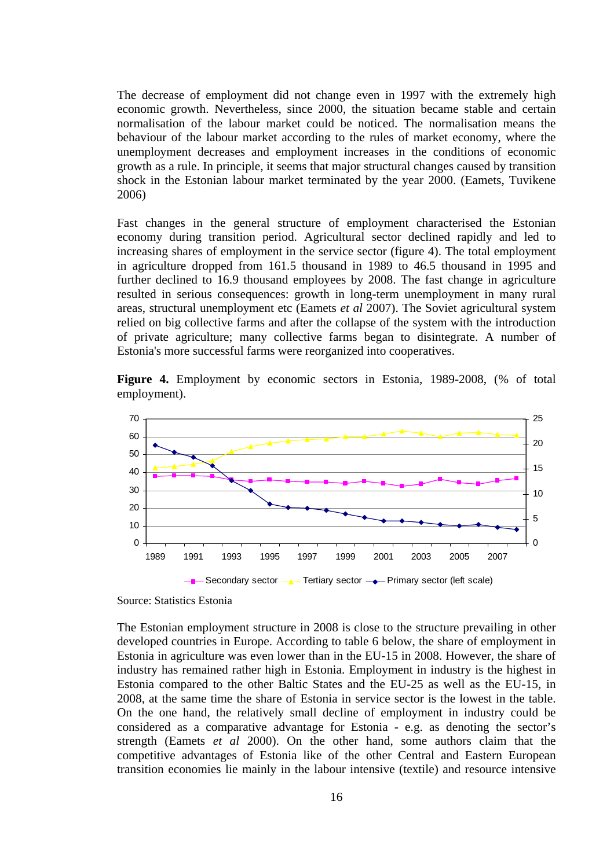The decrease of employment did not change even in 1997 with the extremely high economic growth. Nevertheless, since 2000, the situation became stable and certain normalisation of the labour market could be noticed. The normalisation means the behaviour of the labour market according to the rules of market economy, where the unemployment decreases and employment increases in the conditions of economic growth as a rule. In principle, it seems that major structural changes caused by transition shock in the Estonian labour market terminated by the year 2000. (Eamets, Tuvikene 2006)

Fast changes in the general structure of employment characterised the Estonian economy during transition period. Agricultural sector declined rapidly and led to increasing shares of employment in the service sector (figure 4). The total employment in agriculture dropped from 161.5 thousand in 1989 to 46.5 thousand in 1995 and further declined to 16.9 thousand employees by 2008. The fast change in agriculture resulted in serious consequences: growth in long-term unemployment in many rural areas, structural unemployment etc (Eamets *et al* 2007). The Soviet agricultural system relied on big collective farms and after the collapse of the system with the introduction of private agriculture; many collective farms began to disintegrate. A number of Estonia's more successful farms were reorganized into cooperatives.

**Figure 4.** Employment by economic sectors in Estonia, 1989-2008, (% of total employment).



Source: Statistics Estonia

The Estonian employment structure in 2008 is close to the structure prevailing in other developed countries in Europe. According to table 6 below, the share of employment in Estonia in agriculture was even lower than in the EU-15 in 2008. However, the share of industry has remained rather high in Estonia. Employment in industry is the highest in Estonia compared to the other Baltic States and the EU-25 as well as the EU-15, in 2008, at the same time the share of Estonia in service sector is the lowest in the table. On the one hand, the relatively small decline of employment in industry could be considered as a comparative advantage for Estonia - e.g. as denoting the sector's strength (Eamets *et al* 2000). On the other hand, some authors claim that the competitive advantages of Estonia like of the other Central and Eastern European transition economies lie mainly in the labour intensive (textile) and resource intensive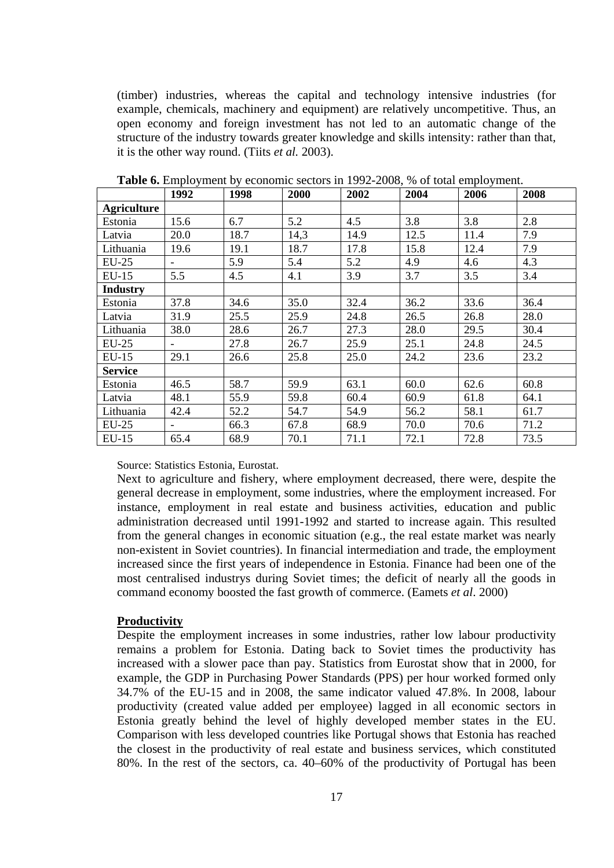(timber) industries, whereas the capital and technology intensive industries (for example, chemicals, machinery and equipment) are relatively uncompetitive. Thus, an open economy and foreign investment has not led to an automatic change of the structure of the industry towards greater knowledge and skills intensity: rather than that, it is the other way round. (Tiits *et al.* 2003).

|                    | 1992 | 1998 | 2000 | 2002 | 2004 | 2006 | 2008 |
|--------------------|------|------|------|------|------|------|------|
| <b>Agriculture</b> |      |      |      |      |      |      |      |
| Estonia            | 15.6 | 6.7  | 5.2  | 4.5  | 3.8  | 3.8  | 2.8  |
| Latvia             | 20.0 | 18.7 | 14,3 | 14.9 | 12.5 | 11.4 | 7.9  |
| Lithuania          | 19.6 | 19.1 | 18.7 | 17.8 | 15.8 | 12.4 | 7.9  |
| $EU-25$            |      | 5.9  | 5.4  | 5.2  | 4.9  | 4.6  | 4.3  |
| EU-15              | 5.5  | 4.5  | 4.1  | 3.9  | 3.7  | 3.5  | 3.4  |
| <b>Industry</b>    |      |      |      |      |      |      |      |
| Estonia            | 37.8 | 34.6 | 35.0 | 32.4 | 36.2 | 33.6 | 36.4 |
| Latvia             | 31.9 | 25.5 | 25.9 | 24.8 | 26.5 | 26.8 | 28.0 |
| Lithuania          | 38.0 | 28.6 | 26.7 | 27.3 | 28.0 | 29.5 | 30.4 |
| EU-25              |      | 27.8 | 26.7 | 25.9 | 25.1 | 24.8 | 24.5 |
| $EU-15$            | 29.1 | 26.6 | 25.8 | 25.0 | 24.2 | 23.6 | 23.2 |
| <b>Service</b>     |      |      |      |      |      |      |      |
| Estonia            | 46.5 | 58.7 | 59.9 | 63.1 | 60.0 | 62.6 | 60.8 |
| Latvia             | 48.1 | 55.9 | 59.8 | 60.4 | 60.9 | 61.8 | 64.1 |
| Lithuania          | 42.4 | 52.2 | 54.7 | 54.9 | 56.2 | 58.1 | 61.7 |
| EU-25              |      | 66.3 | 67.8 | 68.9 | 70.0 | 70.6 | 71.2 |
| $EU-15$            | 65.4 | 68.9 | 70.1 | 71.1 | 72.1 | 72.8 | 73.5 |

**Table 6.** Employment by economic sectors in 1992-2008, % of total employment.

Source: Statistics Estonia, Eurostat.

Next to agriculture and fishery, where employment decreased, there were, despite the general decrease in employment, some industries, where the employment increased. For instance, employment in real estate and business activities, education and public administration decreased until 1991-1992 and started to increase again. This resulted from the general changes in economic situation (e.g., the real estate market was nearly non-existent in Soviet countries). In financial intermediation and trade, the employment increased since the first years of independence in Estonia. Finance had been one of the most centralised industrys during Soviet times; the deficit of nearly all the goods in command economy boosted the fast growth of commerce. (Eamets *et al*. 2000)

#### **Productivity**

Despite the employment increases in some industries, rather low labour productivity remains a problem for Estonia. Dating back to Soviet times the productivity has increased with a slower pace than pay. Statistics from Eurostat show that in 2000, for example, the GDP in Purchasing Power Standards (PPS) per hour worked formed only 34.7% of the EU-15 and in 2008, the same indicator valued 47.8%. In 2008, labour productivity (created value added per employee) lagged in all economic sectors in Estonia greatly behind the level of highly developed member states in the EU. Comparison with less developed countries like Portugal shows that Estonia has reached the closest in the productivity of real estate and business services, which constituted 80%. In the rest of the sectors, ca. 40–60% of the productivity of Portugal has been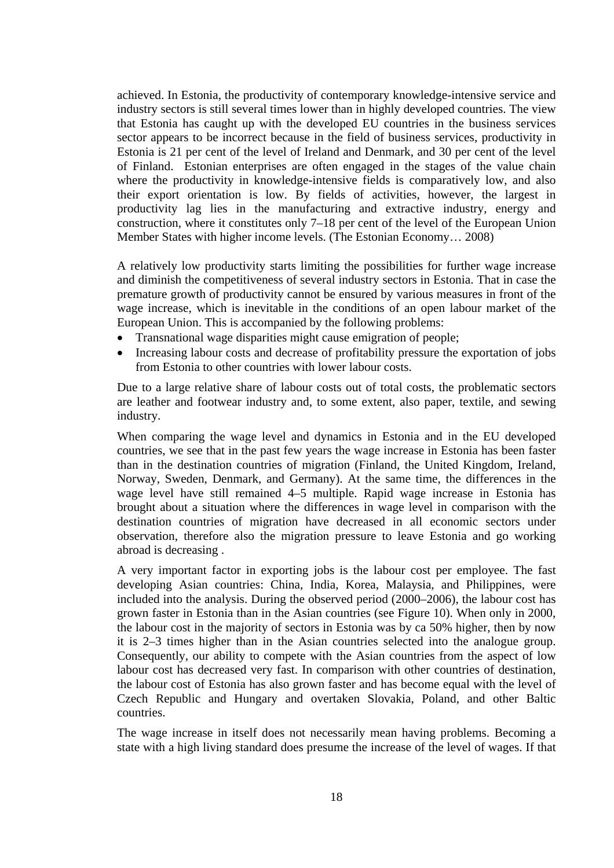achieved. In Estonia, the productivity of contemporary knowledge-intensive service and industry sectors is still several times lower than in highly developed countries. The view that Estonia has caught up with the developed EU countries in the business services sector appears to be incorrect because in the field of business services, productivity in Estonia is 21 per cent of the level of Ireland and Denmark, and 30 per cent of the level of Finland. Estonian enterprises are often engaged in the stages of the value chain where the productivity in knowledge-intensive fields is comparatively low, and also their export orientation is low. By fields of activities, however, the largest in productivity lag lies in the manufacturing and extractive industry, energy and construction, where it constitutes only 7–18 per cent of the level of the European Union Member States with higher income levels. (The Estonian Economy… 2008)

A relatively low productivity starts limiting the possibilities for further wage increase and diminish the competitiveness of several industry sectors in Estonia. That in case the premature growth of productivity cannot be ensured by various measures in front of the wage increase, which is inevitable in the conditions of an open labour market of the European Union. This is accompanied by the following problems:

- Transnational wage disparities might cause emigration of people;
- Increasing labour costs and decrease of profitability pressure the exportation of jobs from Estonia to other countries with lower labour costs.

Due to a large relative share of labour costs out of total costs, the problematic sectors are leather and footwear industry and, to some extent, also paper, textile, and sewing industry.

When comparing the wage level and dynamics in Estonia and in the EU developed countries, we see that in the past few years the wage increase in Estonia has been faster than in the destination countries of migration (Finland, the United Kingdom, Ireland, Norway, Sweden, Denmark, and Germany). At the same time, the differences in the wage level have still remained 4–5 multiple. Rapid wage increase in Estonia has brought about a situation where the differences in wage level in comparison with the destination countries of migration have decreased in all economic sectors under observation, therefore also the migration pressure to leave Estonia and go working abroad is decreasing .

A very important factor in exporting jobs is the labour cost per employee. The fast developing Asian countries: China, India, Korea, Malaysia, and Philippines, were included into the analysis. During the observed period (2000–2006), the labour cost has grown faster in Estonia than in the Asian countries (see [Figure 1](#page-18-0)0). When only in 2000, the labour cost in the majority of sectors in Estonia was by ca 50% higher, then by now it is 2–3 times higher than in the Asian countries selected into the analogue group. Consequently, our ability to compete with the Asian countries from the aspect of low labour cost has decreased very fast. In comparison with other countries of destination, the labour cost of Estonia has also grown faster and has become equal with the level of Czech Republic and Hungary and overtaken Slovakia, Poland, and other Baltic countries.

The wage increase in itself does not necessarily mean having problems. Becoming a state with a high living standard does presume the increase of the level of wages. If that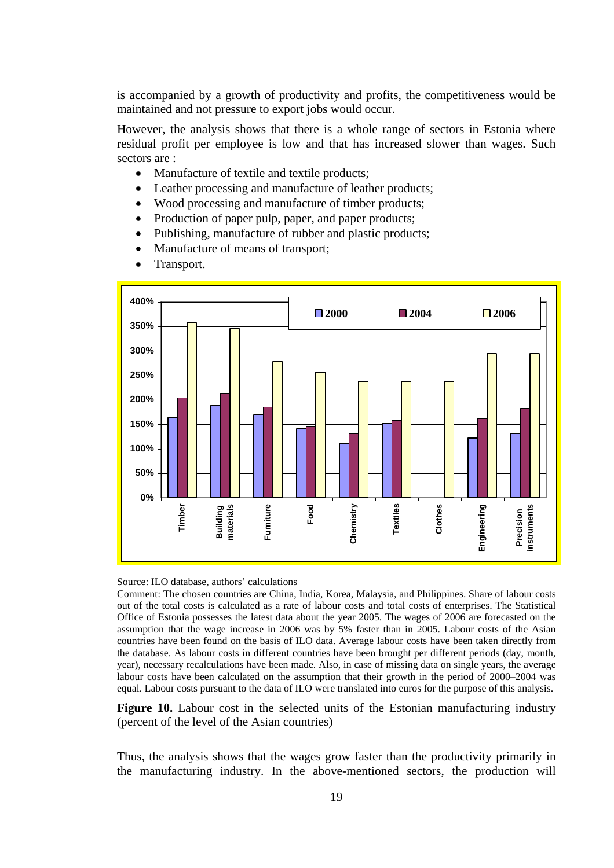is accompanied by a growth of productivity and profits, the competitiveness would be maintained and not pressure to export jobs would occur.

However, the analysis shows that there is a whole range of sectors in Estonia where residual profit per employee is low and that has increased slower than wages. Such sectors are :

- Manufacture of textile and textile products:
- Leather processing and manufacture of leather products;
- Wood processing and manufacture of timber products;
- Production of paper pulp, paper, and paper products;
- Publishing, manufacture of rubber and plastic products;
- Manufacture of means of transport;
- Transport.



Source: ILO database, authors' calculations

Comment: The chosen countries are China, India, Korea, Malaysia, and Philippines. Share of labour costs out of the total costs is calculated as a rate of labour costs and total costs of enterprises. The Statistical Office of Estonia possesses the latest data about the year 2005. The wages of 2006 are forecasted on the assumption that the wage increase in 2006 was by 5% faster than in 2005. Labour costs of the Asian countries have been found on the basis of ILO data. Average labour costs have been taken directly from the database. As labour costs in different countries have been brought per different periods (day, month, year), necessary recalculations have been made. Also, in case of missing data on single years, the average labour costs have been calculated on the assumption that their growth in the period of 2000–2004 was equal. Labour costs pursuant to the data of ILO were translated into euros for the purpose of this analysis.

<span id="page-18-0"></span>**Figure 10.** Labour cost in the selected units of the Estonian manufacturing industry (percent of the level of the Asian countries)

Thus, the analysis shows that the wages grow faster than the productivity primarily in the manufacturing industry. In the above-mentioned sectors, the production will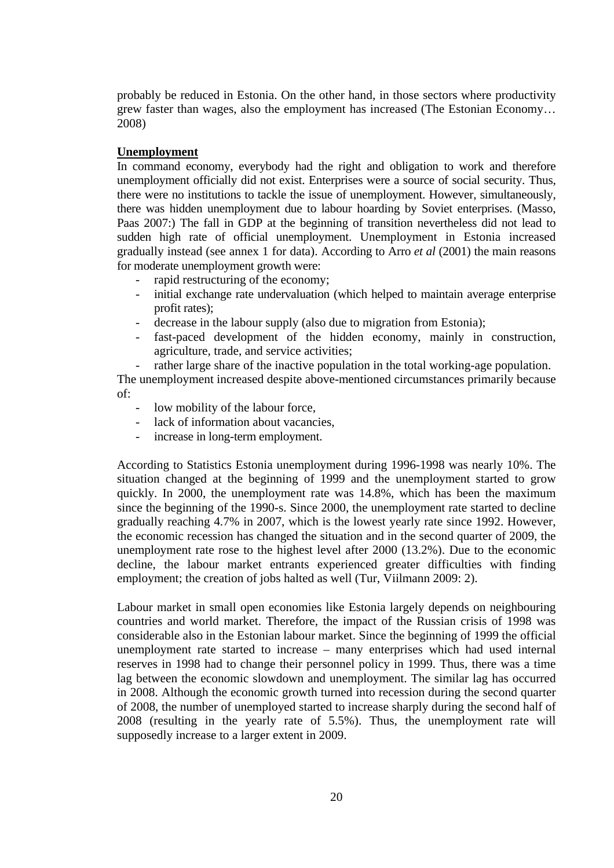probably be reduced in Estonia. On the other hand, in those sectors where productivity grew faster than wages, also the employment has increased (The Estonian Economy… 2008)

### **Unemployment**

In command economy, everybody had the right and obligation to work and therefore unemployment officially did not exist. Enterprises were a source of social security. Thus, there were no institutions to tackle the issue of unemployment. However, simultaneously, there was hidden unemployment due to labour hoarding by Soviet enterprises. (Masso, Paas 2007:) The fall in GDP at the beginning of transition nevertheless did not lead to sudden high rate of official unemployment. Unemployment in Estonia increased gradually instead (see annex 1 for data). According to Arro *et al* (2001) the main reasons for moderate unemployment growth were:

- rapid restructuring of the economy;
- initial exchange rate undervaluation (which helped to maintain average enterprise profit rates);
- decrease in the labour supply (also due to migration from Estonia);
- fast-paced development of the hidden economy, mainly in construction, agriculture, trade, and service activities;
- rather large share of the inactive population in the total working-age population.

The unemployment increased despite above-mentioned circumstances primarily because of:

- low mobility of the labour force,
- lack of information about vacancies.
- increase in long-term employment.

According to Statistics Estonia unemployment during 1996-1998 was nearly 10%. The situation changed at the beginning of 1999 and the unemployment started to grow quickly. In 2000, the unemployment rate was 14.8%, which has been the maximum since the beginning of the 1990-s. Since 2000, the unemployment rate started to decline gradually reaching 4.7% in 2007, which is the lowest yearly rate since 1992. However, the economic recession has changed the situation and in the second quarter of 2009, the unemployment rate rose to the highest level after 2000 (13.2%). Due to the economic decline, the labour market entrants experienced greater difficulties with finding employment; the creation of jobs halted as well (Tur, Viilmann 2009: 2).

Labour market in small open economies like Estonia largely depends on neighbouring countries and world market. Therefore, the impact of the Russian crisis of 1998 was considerable also in the Estonian labour market. Since the beginning of 1999 the official unemployment rate started to increase – many enterprises which had used internal reserves in 1998 had to change their personnel policy in 1999. Thus, there was a time lag between the economic slowdown and unemployment. The similar lag has occurred in 2008. Although the economic growth turned into recession during the second quarter of 2008, the number of unemployed started to increase sharply during the second half of 2008 (resulting in the yearly rate of 5.5%). Thus, the unemployment rate will supposedly increase to a larger extent in 2009.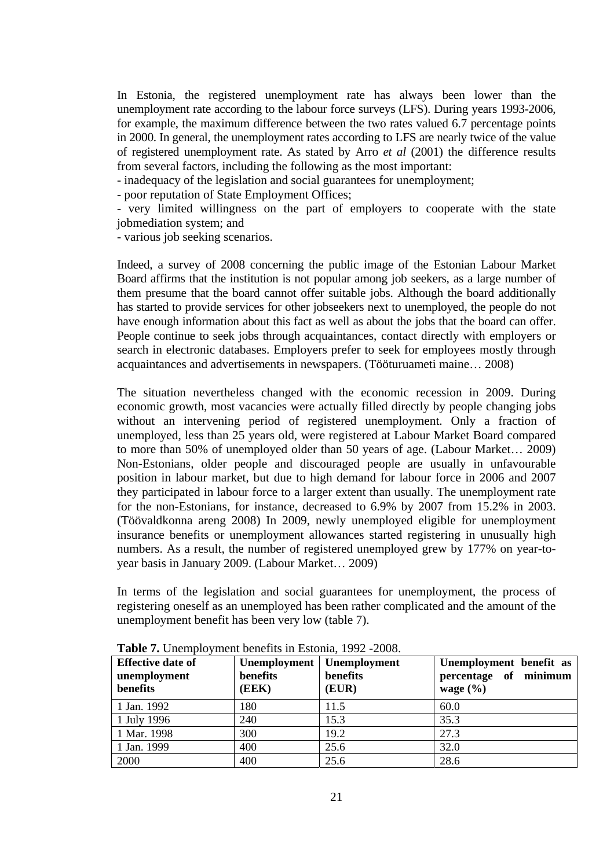In Estonia, the registered unemployment rate has always been lower than the unemployment rate according to the labour force surveys (LFS). During years 1993-2006, for example, the maximum difference between the two rates valued 6.7 percentage points in 2000. In general, the unemployment rates according to LFS are nearly twice of the value of registered unemployment rate. As stated by Arro *et al* (2001) the difference results from several factors, including the following as the most important:

- inadequacy of the legislation and social guarantees for unemployment;

- poor reputation of State Employment Offices;

- very limited willingness on the part of employers to cooperate with the state jobmediation system; and

- various job seeking scenarios.

Indeed, a survey of 2008 concerning the public image of the Estonian Labour Market Board affirms that the institution is not popular among job seekers, as a large number of them presume that the board cannot offer suitable jobs. Although the board additionally has started to provide services for other jobseekers next to unemployed, the people do not have enough information about this fact as well as about the jobs that the board can offer. People continue to seek jobs through acquaintances, contact directly with employers or search in electronic databases. Employers prefer to seek for employees mostly through acquaintances and advertisements in newspapers. (Tööturuameti maine… 2008)

The situation nevertheless changed with the economic recession in 2009. During economic growth, most vacancies were actually filled directly by people changing jobs without an intervening period of registered unemployment. Only a fraction of unemployed, less than 25 years old, were registered at Labour Market Board compared to more than 50% of unemployed older than 50 years of age. (Labour Market… 2009) Non-Estonians, older people and discouraged people are usually in unfavourable position in labour market, but due to high demand for labour force in 2006 and 2007 they participated in labour force to a larger extent than usually. The unemployment rate for the non-Estonians, for instance, decreased to 6.9% by 2007 from 15.2% in 2003. (Töövaldkonna areng 2008) In 2009, newly unemployed eligible for unemployment insurance benefits or unemployment allowances started registering in unusually high numbers. As a result, the number of registered unemployed grew by 177% on year-toyear basis in January 2009. (Labour Market… 2009)

In terms of the legislation and social guarantees for unemployment, the process of registering oneself as an unemployed has been rather complicated and the amount of the unemployment benefit has been very low (table 7).

| <b>Effective date of</b><br>unemployment<br>benefits | Unemployment  <br>benefits<br>(EEK) | Unemployment<br>benefits<br>(EUR) | Unemployment benefit as<br>percentage of minimum<br>wage $(\% )$ |
|------------------------------------------------------|-------------------------------------|-----------------------------------|------------------------------------------------------------------|
| 1 Jan. 1992                                          | 180                                 | 11.5                              | 60.0                                                             |
| 1 July 1996                                          | 240                                 | 15.3                              | 35.3                                                             |
| 1 Mar. 1998                                          | 300                                 | 19.2                              | 27.3                                                             |
| 1 Jan. 1999                                          | 400                                 | 25.6                              | 32.0                                                             |
| 2000                                                 | 400                                 | 25.6                              | 28.6                                                             |

**Table 7.** Unemployment benefits in Estonia, 1992 -2008.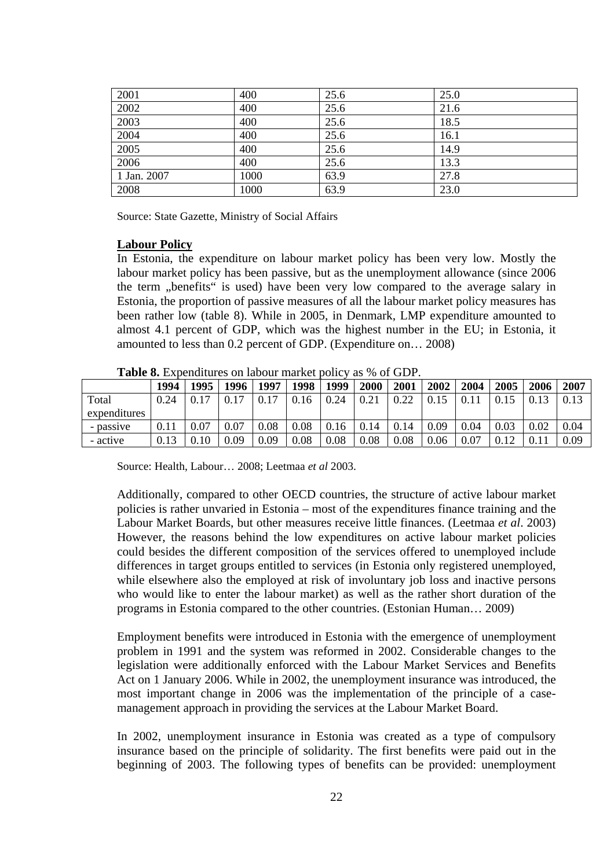| 2001              | 400  | 25.6 | 25.0 |
|-------------------|------|------|------|
| 2002              | 400  | 25.6 | 21.6 |
| $\overline{2003}$ | 400  | 25.6 | 18.5 |
| 2004              | 400  | 25.6 | 16.1 |
| 2005              | 400  | 25.6 | 14.9 |
| 2006              | 400  | 25.6 | 13.3 |
| 1 Jan. 2007       | 1000 | 63.9 | 27.8 |
| 2008              | 1000 | 63.9 | 23.0 |

Source: State Gazette, Ministry of Social Affairs

#### **Labour Policy**

In Estonia, the expenditure on labour market policy has been very low. Mostly the labour market policy has been passive, but as the unemployment allowance (since 2006 the term "benefits" is used) have been very low compared to the average salary in Estonia, the proportion of passive measures of all the labour market policy measures has been rather low (table 8). While in 2005, in Denmark, LMP expenditure amounted to almost 4.1 percent of GDP, which was the highest number in the EU; in Estonia, it amounted to less than 0.2 percent of GDP. (Expenditure on… 2008)

|              | 1994 | 1995 | 1996       | 1997 | 1998 | 1999 | 2000 | 2001 | 2002 | 2004 | 2005 | 2006 | 2007 |  |
|--------------|------|------|------------|------|------|------|------|------|------|------|------|------|------|--|
| Total        | 0.24 | 0.17 | $\rm 0.17$ | 0.17 | 0.16 | 0.24 | 0.21 | 0.22 | 0.15 | 0.11 | 0.15 | 0.13 | 0.13 |  |
| expenditures |      |      |            |      |      |      |      |      |      |      |      |      |      |  |
| - passive    | 0.11 | 0.07 | 0.07       | 0.08 | 0.08 | 0.16 | 0.14 | 0.14 | 0.09 | 0.04 | 0.03 | 0.02 | 0.04 |  |
| - active     | 0.13 | 0.10 | 0.09       | 0.09 | 0.08 | 0.08 | 0.08 | 0.08 | 0.06 | 0.07 | 0.12 | 0.11 | 0.09 |  |

**Table 8.** Expenditures on labour market policy as % of GDP.

Source: Health, Labour… 2008; Leetmaa *et al* 2003.

Additionally, compared to other OECD countries, the structure of active labour market policies is rather unvaried in Estonia – most of the expenditures finance training and the Labour Market Boards, but other measures receive little finances. (Leetmaa *et al*. 2003) However, the reasons behind the low expenditures on active labour market policies could besides the different composition of the services offered to unemployed include differences in target groups entitled to services (in Estonia only registered unemployed, while elsewhere also the employed at risk of involuntary job loss and inactive persons who would like to enter the labour market) as well as the rather short duration of the programs in Estonia compared to the other countries. (Estonian Human… 2009)

Employment benefits were introduced in Estonia with the emergence of unemployment problem in 1991 and the system was reformed in 2002. Considerable changes to the legislation were additionally enforced with the Labour Market Services and Benefits Act on 1 January 2006. While in 2002, the unemployment insurance was introduced, the most important change in 2006 was the implementation of the principle of a casemanagement approach in providing the services at the Labour Market Board.

In 2002, unemployment insurance in Estonia was created as a type of compulsory insurance based on the principle of solidarity. The first benefits were paid out in the beginning of 2003. The following types of benefits can be provided: unemployment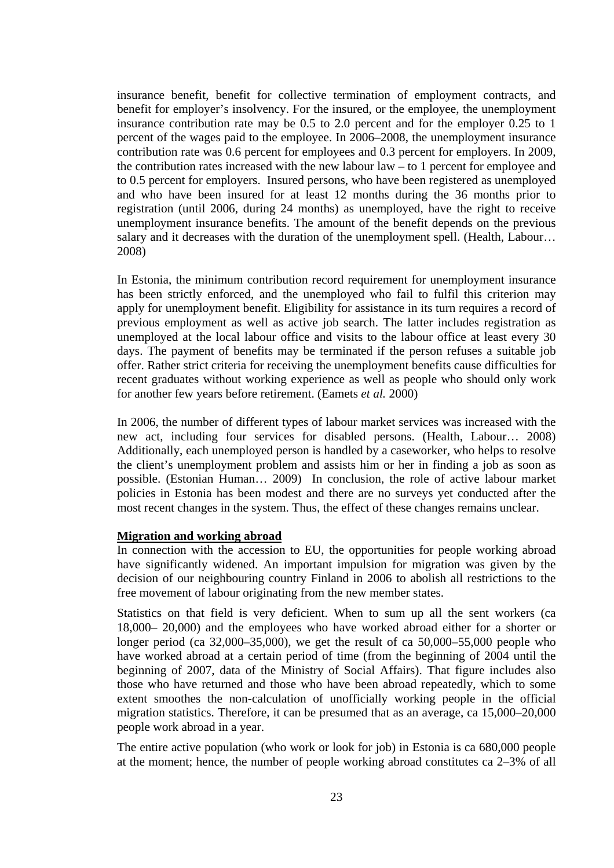insurance benefit, benefit for collective termination of employment contracts, and benefit for employer's insolvency. For the insured, or the employee, the unemployment insurance contribution rate may be 0.5 to 2.0 percent and for the employer 0.25 to 1 percent of the wages paid to the employee. In 2006–2008, the unemployment insurance contribution rate was 0.6 percent for employees and 0.3 percent for employers. In 2009, the contribution rates increased with the new labour law – to 1 percent for employee and to 0.5 percent for employers. Insured persons, who have been registered as unemployed and who have been insured for at least 12 months during the 36 months prior to registration (until 2006, during 24 months) as unemployed, have the right to receive unemployment insurance benefits. The amount of the benefit depends on the previous salary and it decreases with the duration of the unemployment spell. (Health, Labour... 2008)

In Estonia, the minimum contribution record requirement for unemployment insurance has been strictly enforced, and the unemployed who fail to fulfil this criterion may apply for unemployment benefit. Eligibility for assistance in its turn requires a record of previous employment as well as active job search. The latter includes registration as unemployed at the local labour office and visits to the labour office at least every 30 days. The payment of benefits may be terminated if the person refuses a suitable job offer. Rather strict criteria for receiving the unemployment benefits cause difficulties for recent graduates without working experience as well as people who should only work for another few years before retirement. (Eamets *et al.* 2000)

In 2006, the number of different types of labour market services was increased with the new act, including four services for disabled persons. (Health, Labour… 2008) Additionally, each unemployed person is handled by a caseworker, who helps to resolve the client's unemployment problem and assists him or her in finding a job as soon as possible. (Estonian Human… 2009) In conclusion, the role of active labour market policies in Estonia has been modest and there are no surveys yet conducted after the most recent changes in the system. Thus, the effect of these changes remains unclear.

### **Migration and working abroad**

In connection with the accession to EU, the opportunities for people working abroad have significantly widened. An important impulsion for migration was given by the decision of our neighbouring country Finland in 2006 to abolish all restrictions to the free movement of labour originating from the new member states.

Statistics on that field is very deficient. When to sum up all the sent workers (ca 18,000– 20,000) and the employees who have worked abroad either for a shorter or longer period (ca 32,000–35,000), we get the result of ca 50,000–55,000 people who have worked abroad at a certain period of time (from the beginning of 2004 until the beginning of 2007, data of the Ministry of Social Affairs). That figure includes also those who have returned and those who have been abroad repeatedly, which to some extent smoothes the non-calculation of unofficially working people in the official migration statistics. Therefore, it can be presumed that as an average, ca 15,000–20,000 people work abroad in a year.

The entire active population (who work or look for job) in Estonia is ca 680,000 people at the moment; hence, the number of people working abroad constitutes ca 2–3% of all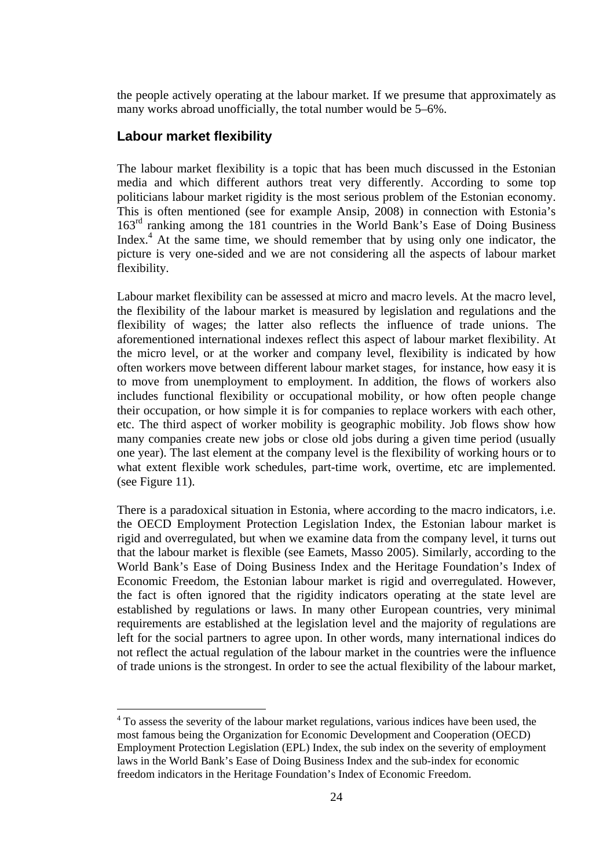the people actively operating at the labour market. If we presume that approximately as many works abroad unofficially, the total number would be 5–6%.

### **Labour market flexibility**

 $\overline{a}$ 

The labour market flexibility is a topic that has been much discussed in the Estonian media and which different authors treat very differently. According to some top politicians labour market rigidity is the most serious problem of the Estonian economy. This is often mentioned (see for example Ansip, 2008) in connection with Estonia's 163rd ranking among the 181 countries in the World Bank's Ease of Doing Business Index.<sup>[4](#page-23-0)</sup> At the same time, we should remember that by using only one indicator, the picture is very one-sided and we are not considering all the aspects of labour market flexibility.

Labour market flexibility can be assessed at micro and macro levels. At the macro level, the flexibility of the labour market is measured by legislation and regulations and the flexibility of wages; the latter also reflects the influence of trade unions. The aforementioned international indexes reflect this aspect of labour market flexibility. At the micro level, or at the worker and company level, flexibility is indicated by how often workers move between different labour market stages, for instance, how easy it is to move from unemployment to employment. In addition, the flows of workers also includes functional flexibility or occupational mobility, or how often people change their occupation, or how simple it is for companies to replace workers with each other, etc. The third aspect of worker mobility is geographic mobility. Job flows show how many companies create new jobs or close old jobs during a given time period (usually one year). The last element at the company level is the flexibility of working hours or to what extent flexible work schedules, part-time work, overtime, etc are implemented. (see Figure 11).

There is a paradoxical situation in Estonia, where according to the macro indicators, i.e. the OECD Employment Protection Legislation Index, the Estonian labour market is rigid and overregulated, but when we examine data from the company level, it turns out that the labour market is flexible (see Eamets, Masso 2005). Similarly, according to the World Bank's Ease of Doing Business Index and the Heritage Foundation's Index of Economic Freedom, the Estonian labour market is rigid and overregulated. However, the fact is often ignored that the rigidity indicators operating at the state level are established by regulations or laws. In many other European countries, very minimal requirements are established at the legislation level and the majority of regulations are left for the social partners to agree upon. In other words, many international indices do not reflect the actual regulation of the labour market in the countries were the influence of trade unions is the strongest. In order to see the actual flexibility of the labour market,

<span id="page-23-0"></span><sup>&</sup>lt;sup>4</sup> To assess the severity of the labour market regulations, various indices have been used, the most famous being the Organization for Economic Development and Cooperation (OECD) Employment Protection Legislation (EPL) Index, the sub index on the severity of employment laws in the World Bank's Ease of Doing Business Index and the sub-index for economic freedom indicators in the Heritage Foundation's Index of Economic Freedom.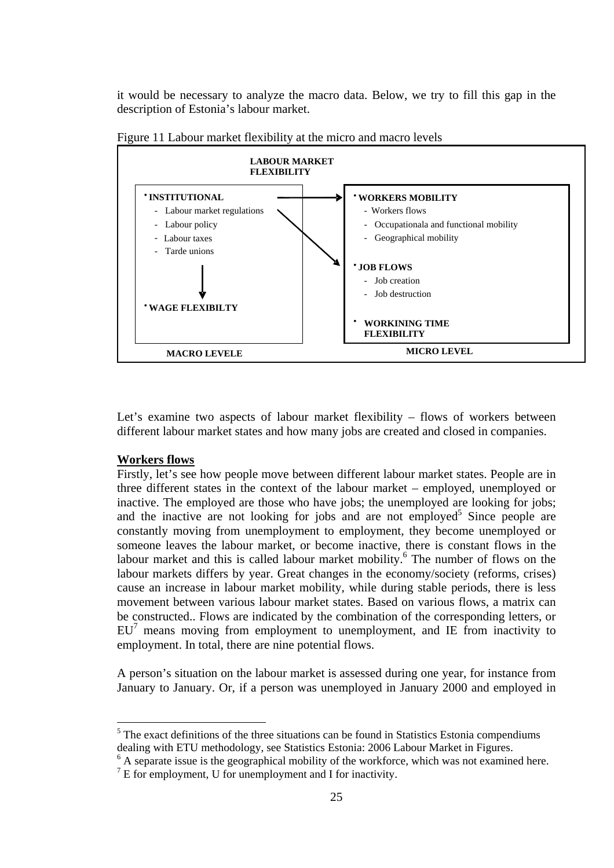it would be necessary to analyze the macro data. Below, we try to fill this gap in the description of Estonia's labour market.



Figure 11 Labour market flexibility at the micro and macro levels

Let's examine two aspects of labour market flexibility – flows of workers between different labour market states and how many jobs are created and closed in companies.

### **Workers flows**

 $\overline{a}$ 

Firstly, let's see how people move between different labour market states. People are in three different states in the context of the labour market – employed, unemployed or inactive. The employed are those who have jobs; the unemployed are looking for jobs; and the inactive are not looking for jobs and are not employed<sup>[5](#page-24-0)</sup> Since people are constantly moving from unemployment to employment, they become unemployed or someone leaves the labour market, or become inactive, there is constant flows in the labour market and this is called labour market mobility.<sup>[6](#page-24-1)</sup> The number of flows on the labour markets differs by year. Great changes in the economy/society (reforms, crises) cause an increase in labour market mobility, while during stable periods, there is less movement between various labour market states. Based on various flows, a matrix can be constructed.. Flows are indicated by the combination of the corresponding letters, or  $EU<sup>7</sup>$ means moving from employment to unemployment, and IE from inactivity to employment. In total, there are nine potential flows.

A person's situation on the labour market is assessed during one year, for instance from January to January. Or, if a person was unemployed in January 2000 and employed in

<span id="page-24-0"></span> $<sup>5</sup>$  The exact definitions of the three situations can be found in Statistics Estonia compendiums</sup> dealing with ETU methodology, see Statistics Estonia: 2006 Labour Market in Figures.

<span id="page-24-1"></span><sup>&</sup>lt;sup>6</sup> A separate issue is the geographical mobility of the workforce, which was not examined here.

<span id="page-24-2"></span> $7 E$  for employment, U for unemployment and I for inactivity.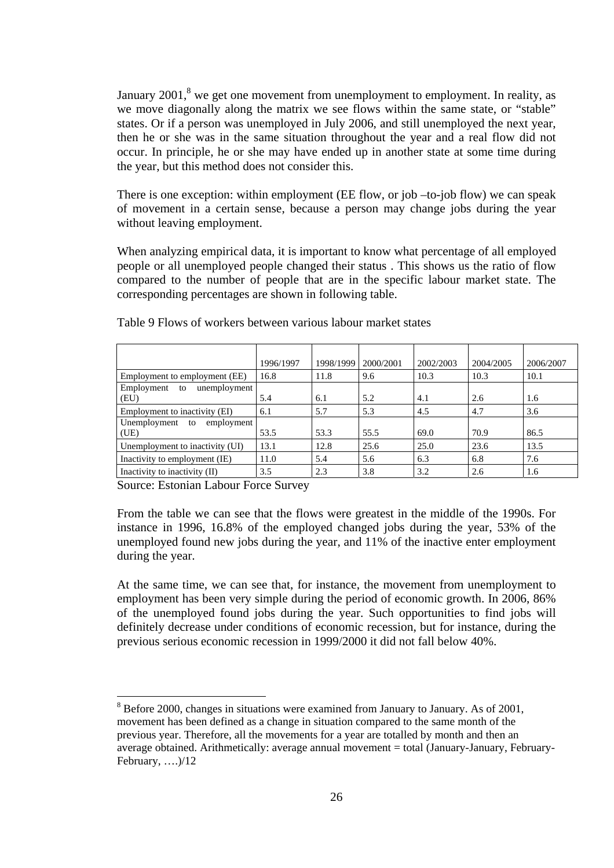January  $2001$ ,<sup>[8](#page-25-0)</sup> we get one movement from unemployment to employment. In reality, as we move diagonally along the matrix we see flows within the same state, or "stable" states. Or if a person was unemployed in July 2006, and still unemployed the next year, then he or she was in the same situation throughout the year and a real flow did not occur. In principle, he or she may have ended up in another state at some time during the year, but this method does not consider this.

There is one exception: within employment (EE flow, or job –to-job flow) we can speak of movement in a certain sense, because a person may change jobs during the year without leaving employment.

When analyzing empirical data, it is important to know what percentage of all employed people or all unemployed people changed their status . This shows us the ratio of flow compared to the number of people that are in the specific labour market state. The corresponding percentages are shown in following table.

|                                          | 1996/1997 | 1998/1999 | 2000/2001 | 2002/2003 | 2004/2005 | 2006/2007 |
|------------------------------------------|-----------|-----------|-----------|-----------|-----------|-----------|
| Employment to employment (EE)            | 16.8      | 11.8      | 9.6       | 10.3      | 10.3      | 10.1      |
| Employment<br>unemployment<br>to<br>(EU) | 5.4       | 6.1       | 5.2       | 4.1       | 2.6       | 1.6       |
| Employment to inactivity (EI)            | 6.1       | 5.7       | 5.3       | 4.5       | 4.7       | 3.6       |
| Unemployment<br>employment<br>to<br>(UE) | 53.5      | 53.3      | 55.5      | 69.0      | 70.9      | 86.5      |
| Unemployment to inactivity (UI)          | 13.1      | 12.8      | 25.6      | 25.0      | 23.6      | 13.5      |
| Inactivity to employment (IE)            | 11.0      | 5.4       | 5.6       | 6.3       | 6.8       | 7.6       |
| Inactivity to inactivity (II)            | 3.5       | 2.3       | 3.8       | 3.2       | 2.6       | 1.6       |

Table 9 Flows of workers between various labour market states

Source: Estonian Labour Force Survey

 $\overline{a}$ 

From the table we can see that the flows were greatest in the middle of the 1990s. For instance in 1996, 16.8% of the employed changed jobs during the year, 53% of the unemployed found new jobs during the year, and 11% of the inactive enter employment during the year.

At the same time, we can see that, for instance, the movement from unemployment to employment has been very simple during the period of economic growth. In 2006, 86% of the unemployed found jobs during the year. Such opportunities to find jobs will definitely decrease under conditions of economic recession, but for instance, during the previous serious economic recession in 1999/2000 it did not fall below 40%.

<span id="page-25-0"></span> $8$  Before 2000, changes in situations were examined from January to January. As of 2001, movement has been defined as a change in situation compared to the same month of the previous year. Therefore, all the movements for a year are totalled by month and then an average obtained. Arithmetically: average annual movement = total (January-January, February-February, ….)/12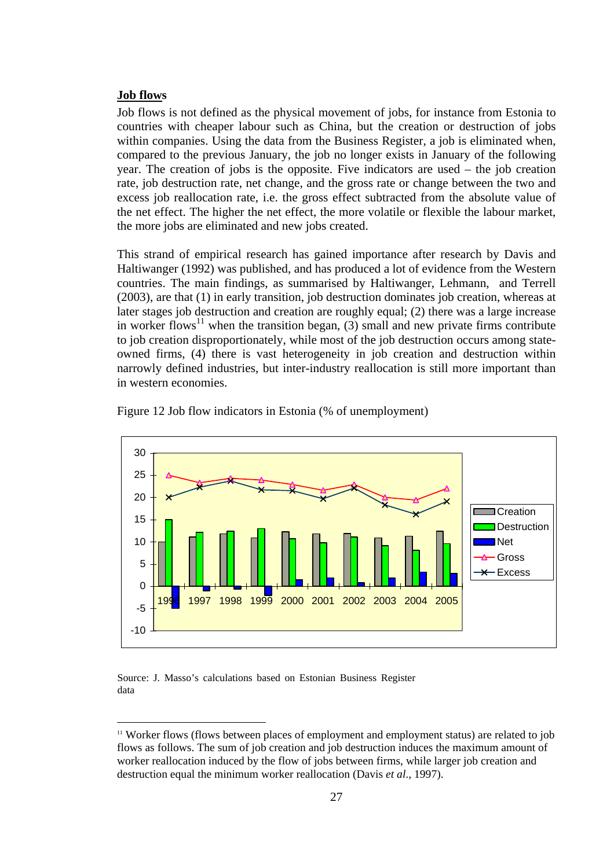#### **Job flows**

 $\overline{a}$ 

Job flows is not defined as the physical movement of jobs, for instance from Estonia to countries with cheaper labour such as China, but the creation or destruction of jobs within companies. Using the data from the Business Register, a job is eliminated when, compared to the previous January, the job no longer exists in January of the following year. The creation of jobs is the opposite. Five indicators are used – the job creation rate, job destruction rate, net change, and the gross rate or change between the two and excess job reallocation rate, i.e. the gross effect subtracted from the absolute value of the net effect. The higher the net effect, the more volatile or flexible the labour market, the more jobs are eliminated and new jobs created.

This strand of empirical research has gained importance after research by Davis and Haltiwanger (1992) was published, and has produced a lot of evidence from the Western countries. The main findings, as summarised by Haltiwanger, Lehmann, and Terrell (2003), are that (1) in early transition, job destruction dominates job creation, whereas at later stages job destruction and creation are roughly equal; (2) there was a large increase in worker flows<sup>11</sup> when the transition began, (3) small and new private firms contribute to job creation disproportionately, while most of the job destruction occurs among stateowned firms, (4) there is vast heterogeneity in job creation and destruction within narrowly defined industries, but inter-industry reallocation is still more important than in western economies.



Figure 12 Job flow indicators in Estonia (% of unemployment)

Source: J. Masso's calculations based on Estonian Business Register data

<span id="page-26-0"></span><sup>&</sup>lt;sup>11</sup> Worker flows (flows between places of employment and employment status) are related to job flows as follows. The sum of job creation and job destruction induces the maximum amount of worker reallocation induced by the flow of jobs between firms, while larger job creation and destruction equal the minimum worker reallocation (Davis *et al*., 1997).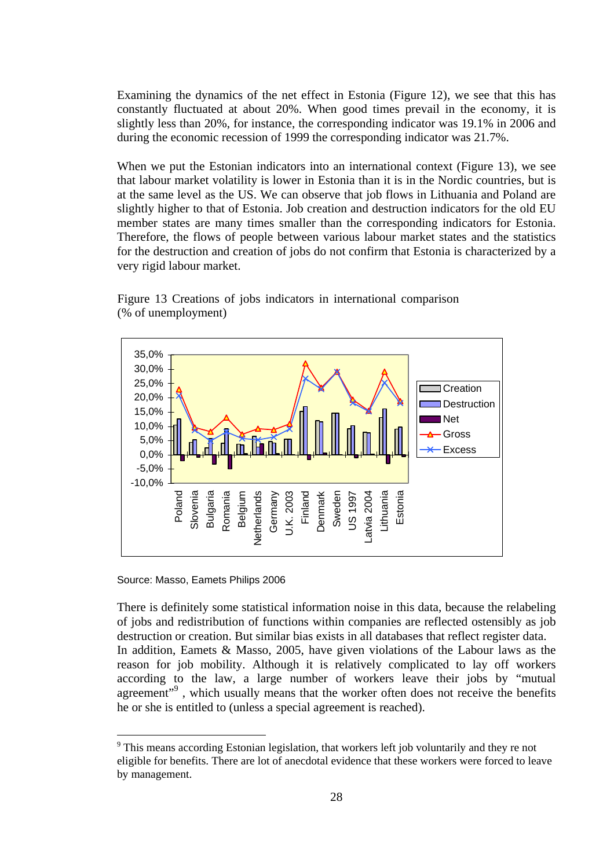Examining the dynamics of the net effect in Estonia (Figure 12), we see that this has constantly fluctuated at about 20%. When good times prevail in the economy, it is slightly less than 20%, for instance, the corresponding indicator was 19.1% in 2006 and during the economic recession of 1999 the corresponding indicator was 21.7%.

When we put the Estonian indicators into an international context (Figure 13), we see that labour market volatility is lower in Estonia than it is in the Nordic countries, but is at the same level as the US. We can observe that job flows in Lithuania and Poland are slightly higher to that of Estonia. Job creation and destruction indicators for the old EU member states are many times smaller than the corresponding indicators for Estonia. Therefore, the flows of people between various labour market states and the statistics for the destruction and creation of jobs do not confirm that Estonia is characterized by a very rigid labour market.



Figure 13 Creations of jobs indicators in international comparison (% of unemployment)

Source: Masso, Eamets Philips 2006

Netherlands Germany U.K. 2003 Finland Denmark Sweden US 1997 Latvia 2004 Lithuania Estonia

**U.K. 2003** 

Denmark

**Jetherlands** 

-10,0%

 $\overline{a}$ 

Poland Slovenia Bulgaria Romania Romania<br>Belgium

There is definitely some statistical information noise in this data, because the relabeling of jobs and redistribution of functions within companies are reflected ostensibly as job destruction or creation. But similar bias exists in all databases that reflect register data. In addition, Eamets & Masso, 2005, have given violations of the Labour laws as the reason for job mobility. Although it is relatively complicated to lay off workers according to the law, a large number of workers leave their jobs by "mutual agreement"<sup>9</sup>, which usually means that the worker often does not receive the benefits he or she is entitled to (unless a special agreement is reached).

ithuania

atvia 2004

<span id="page-27-0"></span><sup>&</sup>lt;sup>9</sup> This means according Estonian legislation, that workers left job voluntarily and they re not eligible for benefits. There are lot of anecdotal evidence that these workers were forced to leave by management.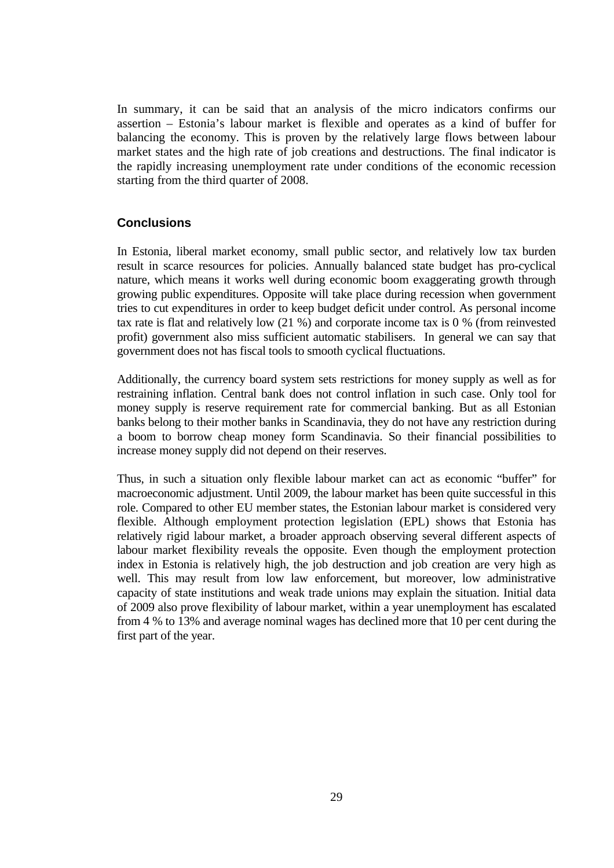In summary, it can be said that an analysis of the micro indicators confirms our assertion – Estonia's labour market is flexible and operates as a kind of buffer for balancing the economy. This is proven by the relatively large flows between labour market states and the high rate of job creations and destructions. The final indicator is the rapidly increasing unemployment rate under conditions of the economic recession starting from the third quarter of 2008.

### **Conclusions**

In Estonia, liberal market economy, small public sector, and relatively low tax burden result in scarce resources for policies. Annually balanced state budget has pro-cyclical nature, which means it works well during economic boom exaggerating growth through growing public expenditures. Opposite will take place during recession when government tries to cut expenditures in order to keep budget deficit under control. As personal income tax rate is flat and relatively low (21 %) and corporate income tax is 0 % (from reinvested profit) government also miss sufficient automatic stabilisers. In general we can say that government does not has fiscal tools to smooth cyclical fluctuations.

Additionally, the currency board system sets restrictions for money supply as well as for restraining inflation. Central bank does not control inflation in such case. Only tool for money supply is reserve requirement rate for commercial banking. But as all Estonian banks belong to their mother banks in Scandinavia, they do not have any restriction during a boom to borrow cheap money form Scandinavia. So their financial possibilities to increase money supply did not depend on their reserves.

Thus, in such a situation only flexible labour market can act as economic "buffer" for macroeconomic adjustment. Until 2009, the labour market has been quite successful in this role. Compared to other EU member states, the Estonian labour market is considered very flexible. Although employment protection legislation (EPL) shows that Estonia has relatively rigid labour market, a broader approach observing several different aspects of labour market flexibility reveals the opposite. Even though the employment protection index in Estonia is relatively high, the job destruction and job creation are very high as well. This may result from low law enforcement, but moreover, low administrative capacity of state institutions and weak trade unions may explain the situation. Initial data of 2009 also prove flexibility of labour market, within a year unemployment has escalated from 4 % to 13% and average nominal wages has declined more that 10 per cent during the first part of the year.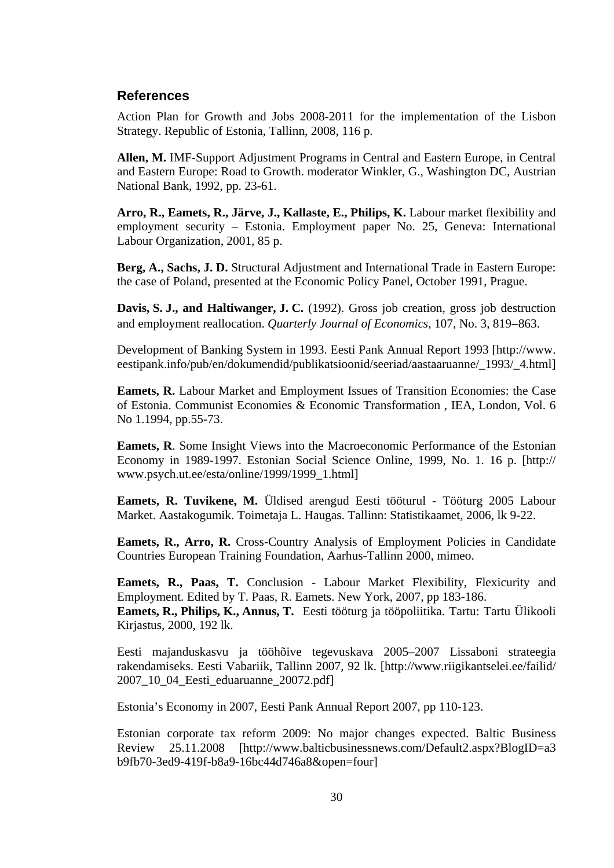### **References**

Action Plan for Growth and Jobs 2008-2011 for the implementation of the Lisbon Strategy. Republic of Estonia, Tallinn, 2008, 116 p.

**Allen, M.** IMF-Support Adjustment Programs in Central and Eastern Europe, in Central and Eastern Europe: Road to Growth. moderator Winkler, G., Washington DC, Austrian National Bank, 1992, pp. 23-61.

**Arro, R., Eamets, R., Järve, J., Kallaste, E., Philips, K.** Labour market flexibility and employment security – Estonia. Employment paper No. 25, Geneva: International Labour Organization, 2001, 85 p.

**Berg, A., Sachs, J. D.** Structural Adjustment and International Trade in Eastern Europe: the case of Poland, presented at the Economic Policy Panel, October 1991, Prague.

**Davis, S. J., and Haltiwanger, J. C.** (1992). Gross job creation, gross job destruction and employment reallocation. *Quarterly Journal of Economics*, 107, No. 3, 819−863.

Development of Banking System in 1993. Eesti Pank Annual Report 1993 [http://www. eestipank.info/pub/en/dokumendid/publikatsioonid/seeriad/aastaaruanne/\_1993/\_4.html]

**Eamets, R.** Labour Market and Employment Issues of Transition Economies: the Case of Estonia. Communist Economies & Economic Transformation , IEA, London, Vol. 6 No 1.1994, pp.55-73.

**Eamets, R**. Some Insight Views into the Macroeconomic Performance of the Estonian Economy in 1989-1997. Estonian Social Science Online, 1999, No. 1. 16 p. [http:// www.psych.ut.ee/esta/online/1999/1999\_1.html]

**Eamets, R. Tuvikene, M.** Üldised arengud Eesti tööturul - Tööturg 2005 Labour Market. Aastakogumik. Toimetaja L. Haugas. Tallinn: Statistikaamet, 2006, lk 9-22.

Eamets, R., Arro, R. Cross-Country Analysis of Employment Policies in Candidate Countries European Training Foundation, Aarhus-Tallinn 2000, mimeo.

**Eamets, R., Paas, T.** Conclusion - Labour Market Flexibility, Flexicurity and Employment. Edited by T. Paas, R. Eamets. New York, 2007, pp 183-186.

**Eamets, R., Philips, K., Annus, T.** Eesti tööturg ja tööpoliitika. Tartu: Tartu Ülikooli Kirjastus, 2000, 192 lk.

Eesti majanduskasvu ja tööhõive tegevuskava 2005–2007 Lissaboni strateegia rakendamiseks. Eesti Vabariik, Tallinn 2007, 92 lk. [http://www.riigikantselei.ee/failid/ 2007\_10\_04\_Eesti\_eduaruanne\_20072.pdf]

Estonia's Economy in 2007, Eesti Pank Annual Report 2007, pp 110-123.

Estonian corporate tax reform 2009: No major changes expected. Baltic Business Review 25.11.2008 [http://www.balticbusinessnews.com/Default2.aspx?BlogID=a3 b9fb70-3ed9-419f-b8a9-16bc44d746a8&open=four]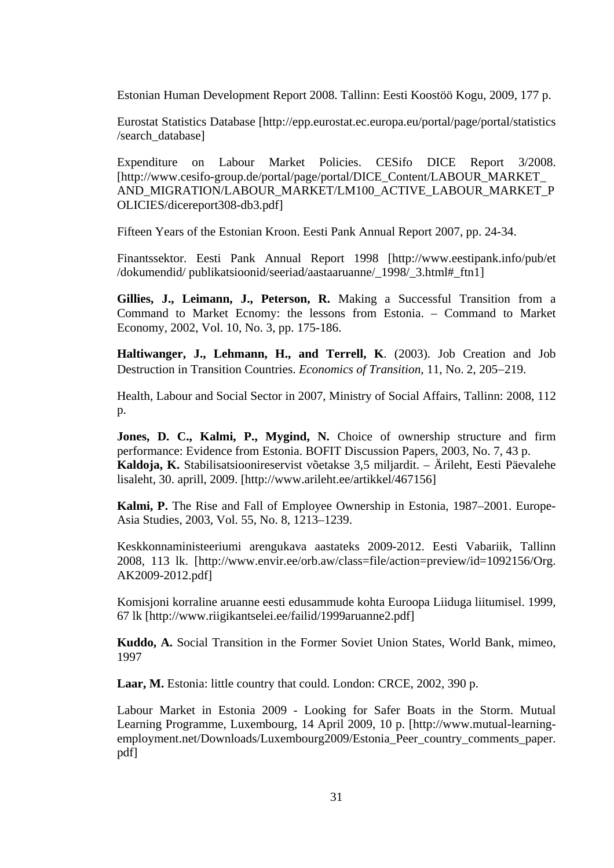Estonian Human Development Report 2008. Tallinn: Eesti Koostöö Kogu, 2009, 177 p.

Eurostat Statistics Database [http://epp.eurostat.ec.europa.eu/portal/page/portal/statistics /search\_database]

Expenditure on Labour Market Policies. CESifo DICE Report 3/2008. [http://www.cesifo-group.de/portal/page/portal/DICE\_Content/LABOUR\_MARKET AND\_MIGRATION/LABOUR\_MARKET/LM100\_ACTIVE\_LABOUR\_MARKET\_P OLICIES/dicereport308-db3.pdf]

Fifteen Years of the Estonian Kroon. Eesti Pank Annual Report 2007, pp. 24-34.

Finantssektor. Eesti Pank Annual Report 1998 [http://www.eestipank.info/pub/et /dokumendid/ publikatsioonid/seeriad/aastaaruanne/\_1998/\_3.html#\_ftn1]

**Gillies, J., Leimann, J., Peterson, R.** Making a Successful Transition from a Command to Market Ecnomy: the lessons from Estonia. – Command to Market Economy, 2002, Vol. 10, No. 3, pp. 175-186.

**Haltiwanger, J., Lehmann, H., and Terrell, K**. (2003). Job Creation and Job Destruction in Transition Countries. *Economics of Transition*, 11, No. 2, 205−219.

Health, Labour and Social Sector in 2007, Ministry of Social Affairs, Tallinn: 2008, 112 p.

**Jones, D. C., Kalmi, P., Mygind, N.** Choice of ownership structure and firm performance: Evidence from Estonia. BOFIT Discussion Papers, 2003, No. 7, 43 p. **Kaldoja, K.** Stabilisatsioonireservist võetakse 3,5 miljardit. – Ärileht, Eesti Päevalehe lisaleht, 30. aprill, 2009. [http://www.arileht.ee/artikkel/467156]

**Kalmi, P.** The Rise and Fall of Employee Ownership in Estonia, 1987–2001. Europe-Asia Studies, 2003, Vol. 55, No. 8, 1213–1239.

Keskkonnaministeeriumi arengukava aastateks 2009-2012. Eesti Vabariik, Tallinn 2008, 113 lk. [http://www.envir.ee/orb.aw/class=file/action=preview/id=1092156/Org. AK2009-2012.pdf]

Komisjoni korraline aruanne eesti edusammude kohta Euroopa Liiduga liitumisel. 1999, 67 lk [http://www.riigikantselei.ee/failid/1999aruanne2.pdf]

**Kuddo, A.** Social Transition in the Former Soviet Union States, World Bank, mimeo, 1997

**Laar, M.** Estonia: little country that could. London: CRCE, 2002, 390 p.

Labour Market in Estonia 2009 - Looking for Safer Boats in the Storm. Mutual Learning Programme, Luxembourg, 14 April 2009, 10 p. [http://www.mutual-learningemployment.net/Downloads/Luxembourg2009/Estonia Peer country comments paper. pdf]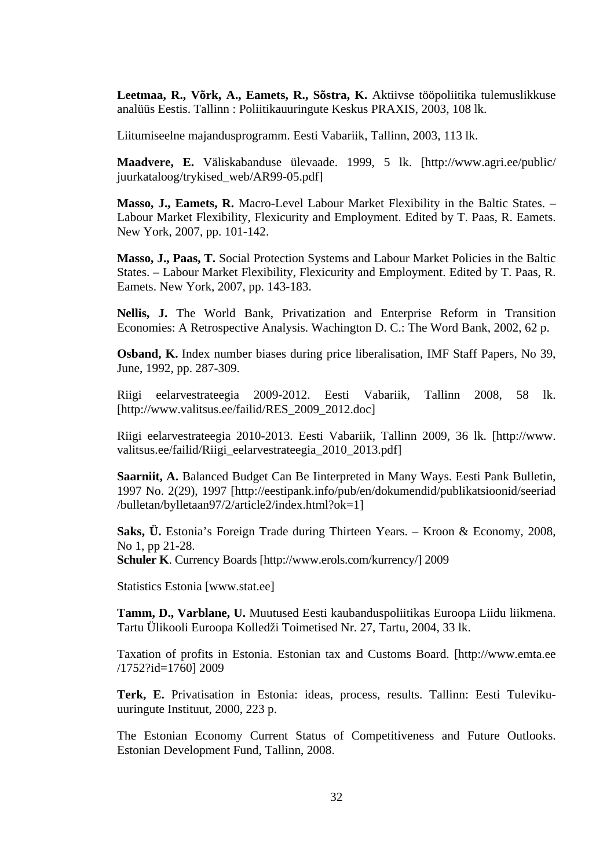**Leetmaa, R., Võrk, A., Eamets, R., Sõstra, K.** Aktiivse tööpoliitika tulemuslikkuse analüüs Eestis. Tallinn : Poliitikauuringute Keskus PRAXIS, 2003, 108 lk.

Liitumiseelne majandusprogramm. Eesti Vabariik, Tallinn, 2003, 113 lk.

**Maadvere, E.** Väliskabanduse ülevaade. 1999, 5 lk. [http://www.agri.ee/public/ juurkataloog/trykised\_web/AR99-05.pdf]

**Masso, J., Eamets, R.** Macro-Level Labour Market Flexibility in the Baltic States. – Labour Market Flexibility, Flexicurity and Employment. Edited by T. Paas, R. Eamets. New York, 2007, pp. 101-142.

**Masso, J., Paas, T.** Social Protection Systems and Labour Market Policies in the Baltic States. – Labour Market Flexibility, Flexicurity and Employment. Edited by T. Paas, R. Eamets. New York, 2007, pp. 143-183.

**Nellis, J.** The World Bank, Privatization and Enterprise Reform in Transition Economies: A Retrospective Analysis. Wachington D. C.: The Word Bank, 2002, 62 p.

**Osband, K.** Index number biases during price liberalisation, IMF Staff Papers, No 39, June, 1992, pp. 287-309.

Riigi eelarvestrateegia 2009-2012. Eesti Vabariik, Tallinn 2008, 58 lk. [http://www.valitsus.ee/failid/RES\_2009\_2012.doc]

Riigi eelarvestrateegia 2010-2013. Eesti Vabariik, Tallinn 2009, 36 lk. [http://www. valitsus.ee/failid/Riigi\_eelarvestrateegia\_2010\_2013.pdf]

**Saarniit, A.** Balanced Budget Can Be Iinterpreted in Many Ways. Eesti Pank Bulletin, 1997 No. 2(29), 1997 [http://eestipank.info/pub/en/dokumendid/publikatsioonid/seeriad /bulletan/bylletaan97/2/article2/index.html?ok=1]

**Saks, Ü.** Estonia's Foreign Trade during Thirteen Years. – Kroon & Economy, 2008, No 1, pp 21-28.

**Schuler K**. Currency Boards [http://www.erols.com/kurrency/] 2009

Statistics Estonia [www.stat.ee]

**Tamm, D., Varblane, U.** Muutused Eesti kaubanduspoliitikas Euroopa Liidu liikmena. Tartu Ülikooli Euroopa Kolledži Toimetised Nr. 27, Tartu, 2004, 33 lk.

Taxation of profits in Estonia. Estonian tax and Customs Board. [http://www.emta.ee /1752?id=1760] 2009

**Terk, E.** Privatisation in Estonia: ideas, process, results. Tallinn: Eesti Tulevikuuuringute Instituut, 2000, 223 p.

The Estonian Economy Current Status of Competitiveness and Future Outlooks. Estonian Development Fund, Tallinn, 2008.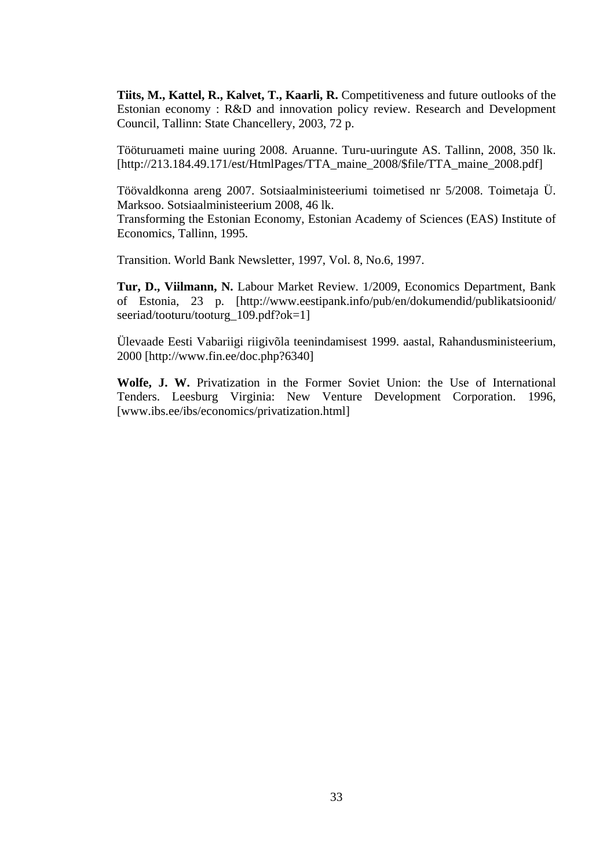**Tiits, M., Kattel, R., Kalvet, T., Kaarli, R.** Competitiveness and future outlooks of the Estonian economy : R&D and innovation policy review. Research and Development Council, Tallinn: State Chancellery, 2003, 72 p.

Tööturuameti maine uuring 2008. Aruanne. Turu-uuringute AS. Tallinn, 2008, 350 lk. [http://213.184.49.171/est/HtmlPages/TTA\_maine\_2008/\$file/TTA\_maine\_2008.pdf]

Töövaldkonna areng 2007. Sotsiaalministeeriumi toimetised nr 5/2008. Toimetaja Ü. Marksoo. Sotsiaalministeerium 2008, 46 lk.

Transforming the Estonian Economy, Estonian Academy of Sciences (EAS) Institute of Economics, Tallinn, 1995.

Transition. World Bank Newsletter, 1997, Vol. 8, No.6, 1997.

**Tur, D., Viilmann, N.** Labour Market Review. 1/2009, Economics Department, Bank of Estonia, 23 p. [http://www.eestipank.info/pub/en/dokumendid/publikatsioonid/ seeriad/tooturu/tooturg\_109.pdf?ok=1]

Ülevaade Eesti Vabariigi riigivõla teenindamisest 1999. aastal, Rahandusministeerium, 2000 [http://www.fin.ee/doc.php?6340]

**Wolfe, J. W.** Privatization in the Former Soviet Union: the Use of International Tenders. Leesburg Virginia: New Venture Development Corporation. 1996, [www.ibs.ee/ibs/economics/privatization.html]